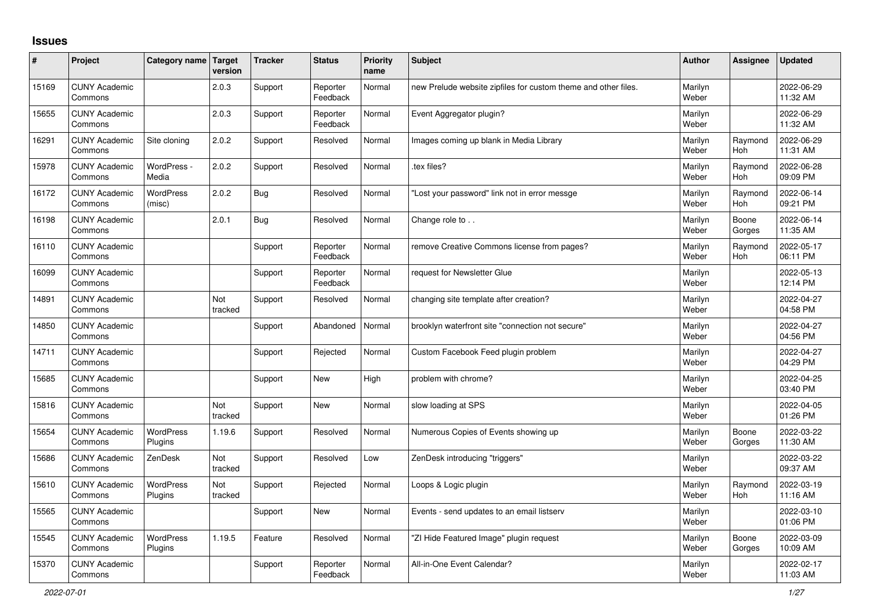## **Issues**

| ∦     | Project                         | Category name Target        | version        | <b>Tracker</b> | <b>Status</b>        | Priority<br>name | <b>Subject</b>                                                 | <b>Author</b>    | Assignee              | <b>Updated</b>         |
|-------|---------------------------------|-----------------------------|----------------|----------------|----------------------|------------------|----------------------------------------------------------------|------------------|-----------------------|------------------------|
| 15169 | <b>CUNY Academic</b><br>Commons |                             | 2.0.3          | Support        | Reporter<br>Feedback | Normal           | new Prelude website zipfiles for custom theme and other files. | Marilyn<br>Weber |                       | 2022-06-29<br>11:32 AM |
| 15655 | <b>CUNY Academic</b><br>Commons |                             | 2.0.3          | Support        | Reporter<br>Feedback | Normal           | Event Aggregator plugin?                                       | Marilyn<br>Weber |                       | 2022-06-29<br>11:32 AM |
| 16291 | <b>CUNY Academic</b><br>Commons | Site cloning                | 2.0.2          | Support        | Resolved             | Normal           | Images coming up blank in Media Library                        | Marilyn<br>Weber | Raymond<br>Hoh        | 2022-06-29<br>11:31 AM |
| 15978 | <b>CUNY Academic</b><br>Commons | WordPress -<br>Media        | 2.0.2          | Support        | Resolved             | Normal           | tex files?                                                     | Marilyn<br>Weber | Raymond<br><b>Hoh</b> | 2022-06-28<br>09:09 PM |
| 16172 | <b>CUNY Academic</b><br>Commons | <b>WordPress</b><br>(misc)  | 2.0.2          | Bug            | Resolved             | Normal           | "Lost your password" link not in error messge                  | Marilyn<br>Weber | Raymond<br>Hoh        | 2022-06-14<br>09:21 PM |
| 16198 | <b>CUNY Academic</b><br>Commons |                             | 2.0.1          | Bug            | Resolved             | Normal           | Change role to                                                 | Marilyn<br>Weber | Boone<br>Gorges       | 2022-06-14<br>11:35 AM |
| 16110 | <b>CUNY Academic</b><br>Commons |                             |                | Support        | Reporter<br>Feedback | Normal           | remove Creative Commons license from pages?                    | Marilyn<br>Weber | Raymond<br><b>Hoh</b> | 2022-05-17<br>06:11 PM |
| 16099 | <b>CUNY Academic</b><br>Commons |                             |                | Support        | Reporter<br>Feedback | Normal           | request for Newsletter Glue                                    | Marilyn<br>Weber |                       | 2022-05-13<br>12:14 PM |
| 14891 | <b>CUNY Academic</b><br>Commons |                             | Not<br>tracked | Support        | Resolved             | Normal           | changing site template after creation?                         | Marilyn<br>Weber |                       | 2022-04-27<br>04:58 PM |
| 14850 | <b>CUNY Academic</b><br>Commons |                             |                | Support        | Abandoned            | Normal           | brooklyn waterfront site "connection not secure"               | Marilyn<br>Weber |                       | 2022-04-27<br>04:56 PM |
| 14711 | <b>CUNY Academic</b><br>Commons |                             |                | Support        | Rejected             | Normal           | Custom Facebook Feed plugin problem                            | Marilyn<br>Weber |                       | 2022-04-27<br>04:29 PM |
| 15685 | <b>CUNY Academic</b><br>Commons |                             |                | Support        | <b>New</b>           | High             | problem with chrome?                                           | Marilyn<br>Weber |                       | 2022-04-25<br>03:40 PM |
| 15816 | <b>CUNY Academic</b><br>Commons |                             | Not<br>tracked | Support        | <b>New</b>           | Normal           | slow loading at SPS                                            | Marilyn<br>Weber |                       | 2022-04-05<br>01:26 PM |
| 15654 | <b>CUNY Academic</b><br>Commons | <b>WordPress</b><br>Plugins | 1.19.6         | Support        | Resolved             | Normal           | Numerous Copies of Events showing up                           | Marilyn<br>Weber | Boone<br>Gorges       | 2022-03-22<br>11:30 AM |
| 15686 | <b>CUNY Academic</b><br>Commons | ZenDesk                     | Not<br>tracked | Support        | Resolved             | Low              | ZenDesk introducing "triggers"                                 | Marilyn<br>Weber |                       | 2022-03-22<br>09:37 AM |
| 15610 | <b>CUNY Academic</b><br>Commons | WordPress<br>Plugins        | Not<br>tracked | Support        | Rejected             | Normal           | Loops & Logic plugin                                           | Marilyn<br>Weber | Raymond<br><b>Hoh</b> | 2022-03-19<br>11:16 AM |
| 15565 | <b>CUNY Academic</b><br>Commons |                             |                | Support        | <b>New</b>           | Normal           | Events - send updates to an email listserv                     | Marilyn<br>Weber |                       | 2022-03-10<br>01:06 PM |
| 15545 | <b>CUNY Academic</b><br>Commons | WordPress<br>Plugins        | 1.19.5         | Feature        | Resolved             | Normal           | "ZI Hide Featured Image" plugin request                        | Marilyn<br>Weber | Boone<br>Gorges       | 2022-03-09<br>10:09 AM |
| 15370 | <b>CUNY Academic</b><br>Commons |                             |                | Support        | Reporter<br>Feedback | Normal           | All-in-One Event Calendar?                                     | Marilyn<br>Weber |                       | 2022-02-17<br>11:03 AM |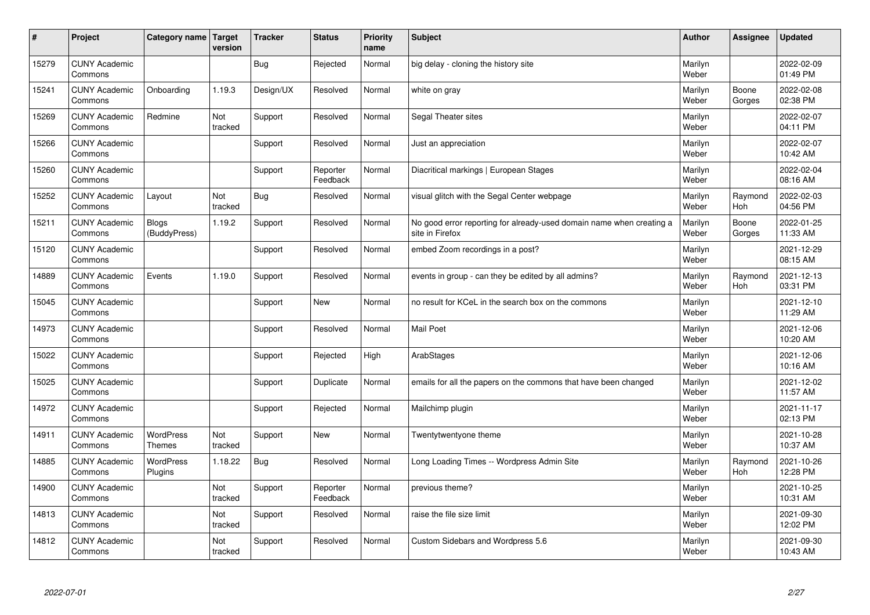| #     | Project                         | Category name   Target            | version        | <b>Tracker</b> | <b>Status</b>        | <b>Priority</b><br>name | <b>Subject</b>                                                                          | <b>Author</b>    | Assignee              | <b>Updated</b>         |
|-------|---------------------------------|-----------------------------------|----------------|----------------|----------------------|-------------------------|-----------------------------------------------------------------------------------------|------------------|-----------------------|------------------------|
| 15279 | <b>CUNY Academic</b><br>Commons |                                   |                | Bug            | Rejected             | Normal                  | big delay - cloning the history site                                                    | Marilyn<br>Weber |                       | 2022-02-09<br>01:49 PM |
| 15241 | <b>CUNY Academic</b><br>Commons | Onboarding                        | 1.19.3         | Design/UX      | Resolved             | Normal                  | white on gray                                                                           | Marilyn<br>Weber | Boone<br>Gorges       | 2022-02-08<br>02:38 PM |
| 15269 | <b>CUNY Academic</b><br>Commons | Redmine                           | Not<br>tracked | Support        | Resolved             | Normal                  | Segal Theater sites                                                                     | Marilyn<br>Weber |                       | 2022-02-07<br>04:11 PM |
| 15266 | <b>CUNY Academic</b><br>Commons |                                   |                | Support        | Resolved             | Normal                  | Just an appreciation                                                                    | Marilyn<br>Weber |                       | 2022-02-07<br>10:42 AM |
| 15260 | <b>CUNY Academic</b><br>Commons |                                   |                | Support        | Reporter<br>Feedback | Normal                  | Diacritical markings   European Stages                                                  | Marilyn<br>Weber |                       | 2022-02-04<br>08:16 AM |
| 15252 | <b>CUNY Academic</b><br>Commons | Layout                            | Not<br>tracked | Bug            | Resolved             | Normal                  | visual glitch with the Segal Center webpage                                             | Marilyn<br>Weber | Raymond<br>Hoh        | 2022-02-03<br>04:56 PM |
| 15211 | <b>CUNY Academic</b><br>Commons | <b>Blogs</b><br>(BuddyPress)      | 1.19.2         | Support        | Resolved             | Normal                  | No good error reporting for already-used domain name when creating a<br>site in Firefox | Marilyn<br>Weber | Boone<br>Gorges       | 2022-01-25<br>11:33 AM |
| 15120 | <b>CUNY Academic</b><br>Commons |                                   |                | Support        | Resolved             | Normal                  | embed Zoom recordings in a post?                                                        | Marilyn<br>Weber |                       | 2021-12-29<br>08:15 AM |
| 14889 | <b>CUNY Academic</b><br>Commons | Events                            | 1.19.0         | Support        | Resolved             | Normal                  | events in group - can they be edited by all admins?                                     | Marilyn<br>Weber | Raymond<br>Hoh        | 2021-12-13<br>03:31 PM |
| 15045 | <b>CUNY Academic</b><br>Commons |                                   |                | Support        | New                  | Normal                  | no result for KCeL in the search box on the commons                                     | Marilyn<br>Weber |                       | 2021-12-10<br>11:29 AM |
| 14973 | <b>CUNY Academic</b><br>Commons |                                   |                | Support        | Resolved             | Normal                  | Mail Poet                                                                               | Marilyn<br>Weber |                       | 2021-12-06<br>10:20 AM |
| 15022 | <b>CUNY Academic</b><br>Commons |                                   |                | Support        | Rejected             | High                    | ArabStages                                                                              | Marilyn<br>Weber |                       | 2021-12-06<br>10:16 AM |
| 15025 | <b>CUNY Academic</b><br>Commons |                                   |                | Support        | Duplicate            | Normal                  | emails for all the papers on the commons that have been changed                         | Marilyn<br>Weber |                       | 2021-12-02<br>11:57 AM |
| 14972 | <b>CUNY Academic</b><br>Commons |                                   |                | Support        | Rejected             | Normal                  | Mailchimp plugin                                                                        | Marilyn<br>Weber |                       | 2021-11-17<br>02:13 PM |
| 14911 | <b>CUNY Academic</b><br>Commons | <b>WordPress</b><br><b>Themes</b> | Not<br>tracked | Support        | <b>New</b>           | Normal                  | Twentytwentyone theme                                                                   | Marilyn<br>Weber |                       | 2021-10-28<br>10:37 AM |
| 14885 | <b>CUNY Academic</b><br>Commons | <b>WordPress</b><br>Plugins       | 1.18.22        | Bug            | Resolved             | Normal                  | Long Loading Times -- Wordpress Admin Site                                              | Marilyn<br>Weber | Raymond<br><b>Hoh</b> | 2021-10-26<br>12:28 PM |
| 14900 | <b>CUNY Academic</b><br>Commons |                                   | Not<br>tracked | Support        | Reporter<br>Feedback | Normal                  | previous theme?                                                                         | Marilyn<br>Weber |                       | 2021-10-25<br>10:31 AM |
| 14813 | <b>CUNY Academic</b><br>Commons |                                   | Not<br>tracked | Support        | Resolved             | Normal                  | raise the file size limit                                                               | Marilyn<br>Weber |                       | 2021-09-30<br>12:02 PM |
| 14812 | <b>CUNY Academic</b><br>Commons |                                   | Not<br>tracked | Support        | Resolved             | Normal                  | Custom Sidebars and Wordpress 5.6                                                       | Marilyn<br>Weber |                       | 2021-09-30<br>10:43 AM |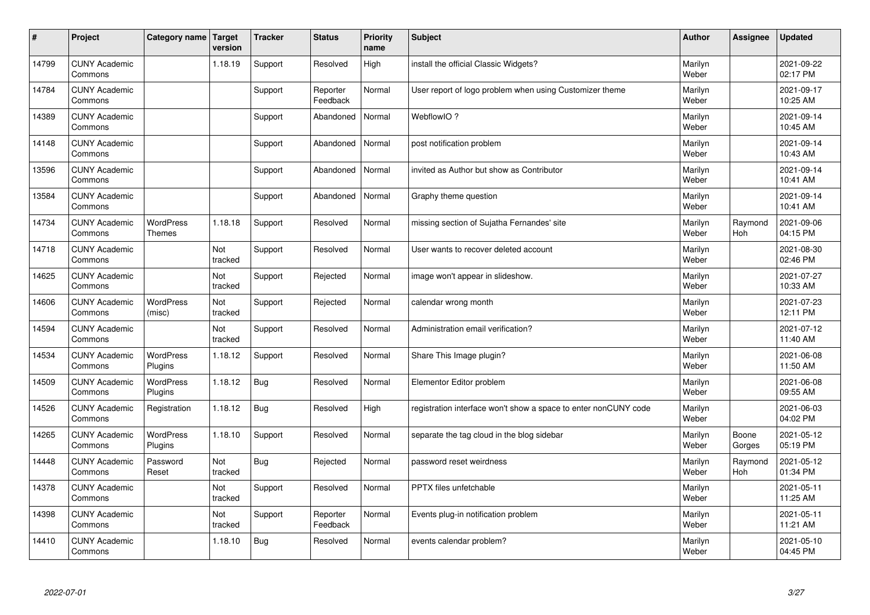| #     | Project                         | Category name   Target      | version        | <b>Tracker</b> | <b>Status</b>        | <b>Priority</b><br>name | <b>Subject</b>                                                  | <b>Author</b>    | Assignee              | <b>Updated</b>         |
|-------|---------------------------------|-----------------------------|----------------|----------------|----------------------|-------------------------|-----------------------------------------------------------------|------------------|-----------------------|------------------------|
| 14799 | <b>CUNY Academic</b><br>Commons |                             | 1.18.19        | Support        | Resolved             | High                    | install the official Classic Widgets?                           | Marilyn<br>Weber |                       | 2021-09-22<br>02:17 PM |
| 14784 | <b>CUNY Academic</b><br>Commons |                             |                | Support        | Reporter<br>Feedback | Normal                  | User report of logo problem when using Customizer theme         | Marilyn<br>Weber |                       | 2021-09-17<br>10:25 AM |
| 14389 | <b>CUNY Academic</b><br>Commons |                             |                | Support        | Abandoned            | Normal                  | WebflowIO?                                                      | Marilyn<br>Weber |                       | 2021-09-14<br>10:45 AM |
| 14148 | <b>CUNY Academic</b><br>Commons |                             |                | Support        | Abandoned            | Normal                  | post notification problem                                       | Marilyn<br>Weber |                       | 2021-09-14<br>10:43 AM |
| 13596 | <b>CUNY Academic</b><br>Commons |                             |                | Support        | Abandoned            | Normal                  | invited as Author but show as Contributor                       | Marilyn<br>Weber |                       | 2021-09-14<br>10:41 AM |
| 13584 | <b>CUNY Academic</b><br>Commons |                             |                | Support        | Abandoned            | Normal                  | Graphy theme question                                           | Marilyn<br>Weber |                       | 2021-09-14<br>10:41 AM |
| 14734 | <b>CUNY Academic</b><br>Commons | WordPress<br><b>Themes</b>  | 1.18.18        | Support        | Resolved             | Normal                  | missing section of Sujatha Fernandes' site                      | Marilyn<br>Weber | Raymond<br>Hoh        | 2021-09-06<br>04:15 PM |
| 14718 | <b>CUNY Academic</b><br>Commons |                             | Not<br>tracked | Support        | Resolved             | Normal                  | User wants to recover deleted account                           | Marilyn<br>Weber |                       | 2021-08-30<br>02:46 PM |
| 14625 | <b>CUNY Academic</b><br>Commons |                             | Not<br>tracked | Support        | Rejected             | Normal                  | image won't appear in slideshow.                                | Marilyn<br>Weber |                       | 2021-07-27<br>10:33 AM |
| 14606 | <b>CUNY Academic</b><br>Commons | WordPress<br>(misc)         | Not<br>tracked | Support        | Rejected             | Normal                  | calendar wrong month                                            | Marilyn<br>Weber |                       | 2021-07-23<br>12:11 PM |
| 14594 | <b>CUNY Academic</b><br>Commons |                             | Not<br>tracked | Support        | Resolved             | Normal                  | Administration email verification?                              | Marilyn<br>Weber |                       | 2021-07-12<br>11:40 AM |
| 14534 | <b>CUNY Academic</b><br>Commons | <b>WordPress</b><br>Plugins | 1.18.12        | Support        | Resolved             | Normal                  | Share This Image plugin?                                        | Marilyn<br>Weber |                       | 2021-06-08<br>11:50 AM |
| 14509 | <b>CUNY Academic</b><br>Commons | WordPress<br>Plugins        | 1.18.12        | <b>Bug</b>     | Resolved             | Normal                  | Elementor Editor problem                                        | Marilyn<br>Weber |                       | 2021-06-08<br>09:55 AM |
| 14526 | <b>CUNY Academic</b><br>Commons | Registration                | 1.18.12        | <b>Bug</b>     | Resolved             | High                    | registration interface won't show a space to enter nonCUNY code | Marilyn<br>Weber |                       | 2021-06-03<br>04:02 PM |
| 14265 | <b>CUNY Academic</b><br>Commons | WordPress<br>Plugins        | 1.18.10        | Support        | Resolved             | Normal                  | separate the tag cloud in the blog sidebar                      | Marilyn<br>Weber | Boone<br>Gorges       | 2021-05-12<br>05:19 PM |
| 14448 | <b>CUNY Academic</b><br>Commons | Password<br>Reset           | Not<br>tracked | <b>Bug</b>     | Rejected             | Normal                  | password reset weirdness                                        | Marilyn<br>Weber | Raymond<br><b>Hoh</b> | 2021-05-12<br>01:34 PM |
| 14378 | <b>CUNY Academic</b><br>Commons |                             | Not<br>tracked | Support        | Resolved             | Normal                  | PPTX files unfetchable                                          | Marilyn<br>Weber |                       | 2021-05-11<br>11:25 AM |
| 14398 | <b>CUNY Academic</b><br>Commons |                             | Not<br>tracked | Support        | Reporter<br>Feedback | Normal                  | Events plug-in notification problem                             | Marilyn<br>Weber |                       | 2021-05-11<br>11:21 AM |
| 14410 | <b>CUNY Academic</b><br>Commons |                             | 1.18.10        | <b>Bug</b>     | Resolved             | Normal                  | events calendar problem?                                        | Marilyn<br>Weber |                       | 2021-05-10<br>04:45 PM |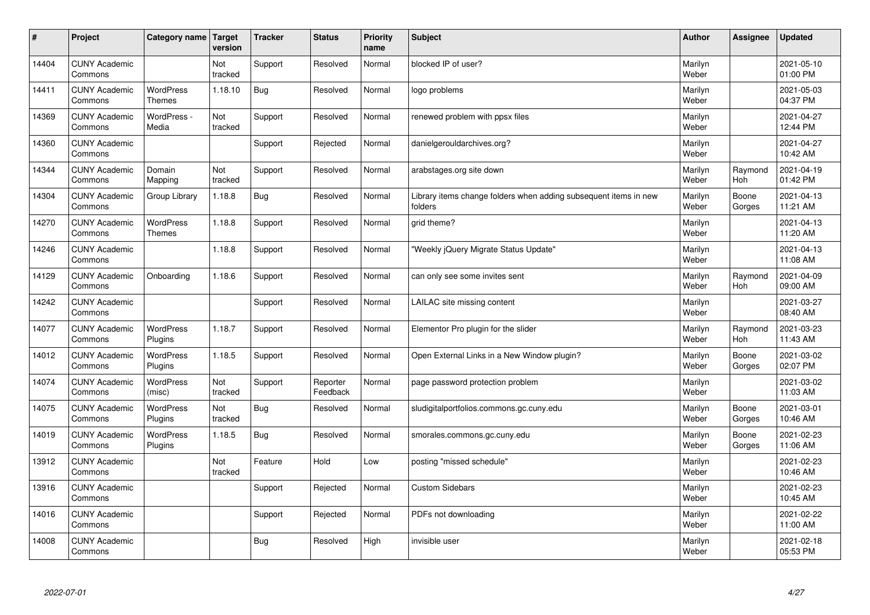| #     | Project                         | Category name   Target            | version        | <b>Tracker</b> | <b>Status</b>        | <b>Priority</b><br>name | <b>Subject</b>                                                              | <b>Author</b>    | Assignee              | <b>Updated</b>         |
|-------|---------------------------------|-----------------------------------|----------------|----------------|----------------------|-------------------------|-----------------------------------------------------------------------------|------------------|-----------------------|------------------------|
| 14404 | <b>CUNY Academic</b><br>Commons |                                   | Not<br>tracked | Support        | Resolved             | Normal                  | blocked IP of user?                                                         | Marilyn<br>Weber |                       | 2021-05-10<br>01:00 PM |
| 14411 | <b>CUNY Academic</b><br>Commons | <b>WordPress</b><br><b>Themes</b> | 1.18.10        | <b>Bug</b>     | Resolved             | Normal                  | logo problems                                                               | Marilyn<br>Weber |                       | 2021-05-03<br>04:37 PM |
| 14369 | <b>CUNY Academic</b><br>Commons | WordPress -<br>Media              | Not<br>tracked | Support        | Resolved             | Normal                  | renewed problem with ppsx files                                             | Marilyn<br>Weber |                       | 2021-04-27<br>12:44 PM |
| 14360 | <b>CUNY Academic</b><br>Commons |                                   |                | Support        | Rejected             | Normal                  | danielgerouldarchives.org?                                                  | Marilyn<br>Weber |                       | 2021-04-27<br>10:42 AM |
| 14344 | <b>CUNY Academic</b><br>Commons | Domain<br>Mapping                 | Not<br>tracked | Support        | Resolved             | Normal                  | arabstages.org site down                                                    | Marilyn<br>Weber | Raymond<br><b>Hoh</b> | 2021-04-19<br>01:42 PM |
| 14304 | <b>CUNY Academic</b><br>Commons | Group Library                     | 1.18.8         | <b>Bug</b>     | Resolved             | Normal                  | Library items change folders when adding subsequent items in new<br>folders | Marilyn<br>Weber | Boone<br>Gorges       | 2021-04-13<br>11:21 AM |
| 14270 | <b>CUNY Academic</b><br>Commons | <b>WordPress</b><br><b>Themes</b> | 1.18.8         | Support        | Resolved             | Normal                  | grid theme?                                                                 | Marilyn<br>Weber |                       | 2021-04-13<br>11:20 AM |
| 14246 | <b>CUNY Academic</b><br>Commons |                                   | 1.18.8         | Support        | Resolved             | Normal                  | 'Weekly jQuery Migrate Status Update"                                       | Marilyn<br>Weber |                       | 2021-04-13<br>11:08 AM |
| 14129 | <b>CUNY Academic</b><br>Commons | Onboarding                        | 1.18.6         | Support        | Resolved             | Normal                  | can only see some invites sent                                              | Marilyn<br>Weber | Raymond<br>Hoh        | 2021-04-09<br>09:00 AM |
| 14242 | <b>CUNY Academic</b><br>Commons |                                   |                | Support        | Resolved             | Normal                  | LAILAC site missing content                                                 | Marilyn<br>Weber |                       | 2021-03-27<br>08:40 AM |
| 14077 | <b>CUNY Academic</b><br>Commons | <b>WordPress</b><br>Plugins       | 1.18.7         | Support        | Resolved             | Normal                  | Elementor Pro plugin for the slider                                         | Marilyn<br>Weber | Raymond<br>Hoh        | 2021-03-23<br>11:43 AM |
| 14012 | <b>CUNY Academic</b><br>Commons | <b>WordPress</b><br>Plugins       | 1.18.5         | Support        | Resolved             | Normal                  | Open External Links in a New Window plugin?                                 | Marilyn<br>Weber | Boone<br>Gorges       | 2021-03-02<br>02:07 PM |
| 14074 | <b>CUNY Academic</b><br>Commons | <b>WordPress</b><br>(misc)        | Not<br>tracked | Support        | Reporter<br>Feedback | Normal                  | page password protection problem                                            | Marilyn<br>Weber |                       | 2021-03-02<br>11:03 AM |
| 14075 | <b>CUNY Academic</b><br>Commons | WordPress<br>Plugins              | Not<br>tracked | <b>Bug</b>     | Resolved             | Normal                  | sludigitalportfolios.commons.gc.cuny.edu                                    | Marilyn<br>Weber | Boone<br>Gorges       | 2021-03-01<br>10:46 AM |
| 14019 | <b>CUNY Academic</b><br>Commons | WordPress<br>Plugins              | 1.18.5         | <b>Bug</b>     | Resolved             | Normal                  | smorales.commons.gc.cuny.edu                                                | Marilyn<br>Weber | Boone<br>Gorges       | 2021-02-23<br>11:06 AM |
| 13912 | <b>CUNY Academic</b><br>Commons |                                   | Not<br>tracked | Feature        | Hold                 | Low                     | posting "missed schedule"                                                   | Marilyn<br>Weber |                       | 2021-02-23<br>10:46 AM |
| 13916 | <b>CUNY Academic</b><br>Commons |                                   |                | Support        | Rejected             | Normal                  | <b>Custom Sidebars</b>                                                      | Marilyn<br>Weber |                       | 2021-02-23<br>10:45 AM |
| 14016 | <b>CUNY Academic</b><br>Commons |                                   |                | Support        | Rejected             | Normal                  | PDFs not downloading                                                        | Marilyn<br>Weber |                       | 2021-02-22<br>11:00 AM |
| 14008 | <b>CUNY Academic</b><br>Commons |                                   |                | Bug            | Resolved             | High                    | invisible user                                                              | Marilyn<br>Weber |                       | 2021-02-18<br>05:53 PM |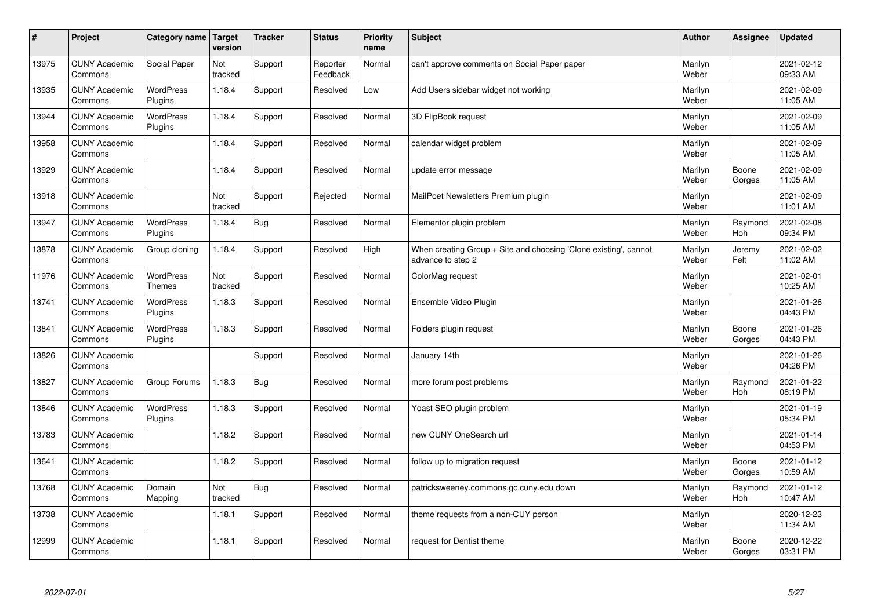| $\sharp$ | Project                         | Category name   Target            | version        | <b>Tracker</b> | <b>Status</b>        | <b>Priority</b><br>name | <b>Subject</b>                                                                        | <b>Author</b>    | <b>Assignee</b>       | <b>Updated</b>         |
|----------|---------------------------------|-----------------------------------|----------------|----------------|----------------------|-------------------------|---------------------------------------------------------------------------------------|------------------|-----------------------|------------------------|
| 13975    | <b>CUNY Academic</b><br>Commons | Social Paper                      | Not<br>tracked | Support        | Reporter<br>Feedback | Normal                  | can't approve comments on Social Paper paper                                          | Marilyn<br>Weber |                       | 2021-02-12<br>09:33 AM |
| 13935    | <b>CUNY Academic</b><br>Commons | <b>WordPress</b><br>Plugins       | 1.18.4         | Support        | Resolved             | Low                     | Add Users sidebar widget not working                                                  | Marilyn<br>Weber |                       | 2021-02-09<br>11:05 AM |
| 13944    | <b>CUNY Academic</b><br>Commons | <b>WordPress</b><br>Plugins       | 1.18.4         | Support        | Resolved             | Normal                  | 3D FlipBook request                                                                   | Marilyn<br>Weber |                       | 2021-02-09<br>11:05 AM |
| 13958    | <b>CUNY Academic</b><br>Commons |                                   | 1.18.4         | Support        | Resolved             | Normal                  | calendar widget problem                                                               | Marilyn<br>Weber |                       | 2021-02-09<br>11:05 AM |
| 13929    | <b>CUNY Academic</b><br>Commons |                                   | 1.18.4         | Support        | Resolved             | Normal                  | update error message                                                                  | Marilyn<br>Weber | Boone<br>Gorges       | 2021-02-09<br>11:05 AM |
| 13918    | <b>CUNY Academic</b><br>Commons |                                   | Not<br>tracked | Support        | Rejected             | Normal                  | MailPoet Newsletters Premium plugin                                                   | Marilyn<br>Weber |                       | 2021-02-09<br>11:01 AM |
| 13947    | <b>CUNY Academic</b><br>Commons | <b>WordPress</b><br>Plugins       | 1.18.4         | Bug            | Resolved             | Normal                  | Elementor plugin problem                                                              | Marilyn<br>Weber | Raymond<br>Hoh        | 2021-02-08<br>09:34 PM |
| 13878    | <b>CUNY Academic</b><br>Commons | Group cloning                     | 1.18.4         | Support        | Resolved             | High                    | When creating Group + Site and choosing 'Clone existing', cannot<br>advance to step 2 | Marilyn<br>Weber | Jeremy<br>Felt        | 2021-02-02<br>11:02 AM |
| 11976    | <b>CUNY Academic</b><br>Commons | <b>WordPress</b><br><b>Themes</b> | Not<br>tracked | Support        | Resolved             | Normal                  | ColorMag request                                                                      | Marilyn<br>Weber |                       | 2021-02-01<br>10:25 AM |
| 13741    | <b>CUNY Academic</b><br>Commons | WordPress<br>Plugins              | 1.18.3         | Support        | Resolved             | Normal                  | Ensemble Video Plugin                                                                 | Marilyn<br>Weber |                       | 2021-01-26<br>04:43 PM |
| 13841    | <b>CUNY Academic</b><br>Commons | WordPress<br>Plugins              | 1.18.3         | Support        | Resolved             | Normal                  | Folders plugin request                                                                | Marilyn<br>Weber | Boone<br>Gorges       | 2021-01-26<br>04:43 PM |
| 13826    | <b>CUNY Academic</b><br>Commons |                                   |                | Support        | Resolved             | Normal                  | January 14th                                                                          | Marilyn<br>Weber |                       | 2021-01-26<br>04:26 PM |
| 13827    | <b>CUNY Academic</b><br>Commons | Group Forums                      | 1.18.3         | Bug            | Resolved             | Normal                  | more forum post problems                                                              | Marilyn<br>Weber | Raymond<br>Hoh        | 2021-01-22<br>08:19 PM |
| 13846    | <b>CUNY Academic</b><br>Commons | WordPress<br>Plugins              | 1.18.3         | Support        | Resolved             | Normal                  | Yoast SEO plugin problem                                                              | Marilyn<br>Weber |                       | 2021-01-19<br>05:34 PM |
| 13783    | <b>CUNY Academic</b><br>Commons |                                   | 1.18.2         | Support        | Resolved             | Normal                  | new CUNY OneSearch url                                                                | Marilyn<br>Weber |                       | 2021-01-14<br>04:53 PM |
| 13641    | <b>CUNY Academic</b><br>Commons |                                   | 1.18.2         | Support        | Resolved             | Normal                  | follow up to migration request                                                        | Marilyn<br>Weber | Boone<br>Gorges       | 2021-01-12<br>10:59 AM |
| 13768    | <b>CUNY Academic</b><br>Commons | Domain<br>Mapping                 | Not<br>tracked | Bug            | Resolved             | Normal                  | patricksweeney.commons.gc.cuny.edu down                                               | Marilyn<br>Weber | Raymond<br><b>Hoh</b> | 2021-01-12<br>10:47 AM |
| 13738    | <b>CUNY Academic</b><br>Commons |                                   | 1.18.1         | Support        | Resolved             | Normal                  | theme requests from a non-CUY person                                                  | Marilyn<br>Weber |                       | 2020-12-23<br>11:34 AM |
| 12999    | <b>CUNY Academic</b><br>Commons |                                   | 1.18.1         | Support        | Resolved             | Normal                  | request for Dentist theme                                                             | Marilyn<br>Weber | Boone<br>Gorges       | 2020-12-22<br>03:31 PM |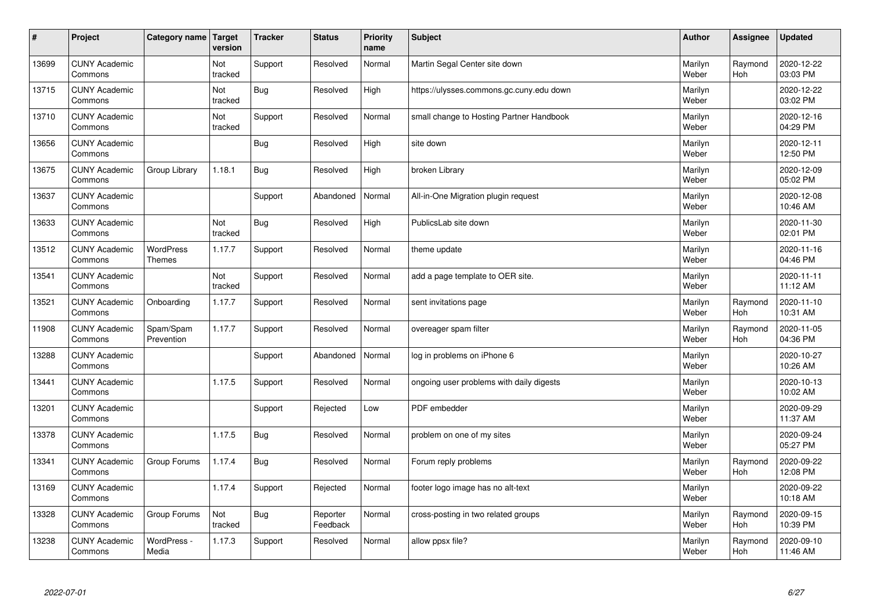| $\sharp$ | Project                         | Category name                     | Target<br>version | <b>Tracker</b> | <b>Status</b>        | <b>Priority</b><br>name | <b>Subject</b>                           | <b>Author</b>    | Assignee       | <b>Updated</b>         |
|----------|---------------------------------|-----------------------------------|-------------------|----------------|----------------------|-------------------------|------------------------------------------|------------------|----------------|------------------------|
| 13699    | <b>CUNY Academic</b><br>Commons |                                   | Not<br>tracked    | Support        | Resolved             | Normal                  | Martin Segal Center site down            | Marilyn<br>Weber | Raymond<br>Hoh | 2020-12-22<br>03:03 PM |
| 13715    | <b>CUNY Academic</b><br>Commons |                                   | Not<br>tracked    | Bug            | Resolved             | High                    | https://ulysses.commons.gc.cuny.edu down | Marilyn<br>Weber |                | 2020-12-22<br>03:02 PM |
| 13710    | <b>CUNY Academic</b><br>Commons |                                   | Not<br>tracked    | Support        | Resolved             | Normal                  | small change to Hosting Partner Handbook | Marilyn<br>Weber |                | 2020-12-16<br>04:29 PM |
| 13656    | <b>CUNY Academic</b><br>Commons |                                   |                   | Bug            | Resolved             | High                    | site down                                | Marilyn<br>Weber |                | 2020-12-11<br>12:50 PM |
| 13675    | <b>CUNY Academic</b><br>Commons | Group Library                     | 1.18.1            | <b>Bug</b>     | Resolved             | High                    | broken Library                           | Marilyn<br>Weber |                | 2020-12-09<br>05:02 PM |
| 13637    | <b>CUNY Academic</b><br>Commons |                                   |                   | Support        | Abandoned            | Normal                  | All-in-One Migration plugin request      | Marilyn<br>Weber |                | 2020-12-08<br>10:46 AM |
| 13633    | <b>CUNY Academic</b><br>Commons |                                   | Not<br>tracked    | <b>Bug</b>     | Resolved             | High                    | PublicsLab site down                     | Marilyn<br>Weber |                | 2020-11-30<br>02:01 PM |
| 13512    | <b>CUNY Academic</b><br>Commons | <b>WordPress</b><br><b>Themes</b> | 1.17.7            | Support        | Resolved             | Normal                  | theme update                             | Marilyn<br>Weber |                | 2020-11-16<br>04:46 PM |
| 13541    | <b>CUNY Academic</b><br>Commons |                                   | Not<br>tracked    | Support        | Resolved             | Normal                  | add a page template to OER site.         | Marilyn<br>Weber |                | 2020-11-11<br>11:12 AM |
| 13521    | <b>CUNY Academic</b><br>Commons | Onboarding                        | 1.17.7            | Support        | Resolved             | Normal                  | sent invitations page                    | Marilyn<br>Weber | Raymond<br>Hoh | 2020-11-10<br>10:31 AM |
| 11908    | <b>CUNY Academic</b><br>Commons | Spam/Spam<br>Prevention           | 1.17.7            | Support        | Resolved             | Normal                  | overeager spam filter                    | Marilyn<br>Weber | Raymond<br>Hoh | 2020-11-05<br>04:36 PM |
| 13288    | <b>CUNY Academic</b><br>Commons |                                   |                   | Support        | Abandoned            | Normal                  | log in problems on iPhone 6              | Marilyn<br>Weber |                | 2020-10-27<br>10:26 AM |
| 13441    | <b>CUNY Academic</b><br>Commons |                                   | 1.17.5            | Support        | Resolved             | Normal                  | ongoing user problems with daily digests | Marilyn<br>Weber |                | 2020-10-13<br>10:02 AM |
| 13201    | <b>CUNY Academic</b><br>Commons |                                   |                   | Support        | Rejected             | Low                     | PDF embedder                             | Marilyn<br>Weber |                | 2020-09-29<br>11:37 AM |
| 13378    | <b>CUNY Academic</b><br>Commons |                                   | 1.17.5            | Bug            | Resolved             | Normal                  | problem on one of my sites               | Marilyn<br>Weber |                | 2020-09-24<br>05:27 PM |
| 13341    | <b>CUNY Academic</b><br>Commons | Group Forums                      | 1.17.4            | Bug            | Resolved             | Normal                  | Forum reply problems                     | Marilyn<br>Weber | Raymond<br>Hoh | 2020-09-22<br>12:08 PM |
| 13169    | <b>CUNY Academic</b><br>Commons |                                   | 1.17.4            | Support        | Rejected             | Normal                  | footer logo image has no alt-text        | Marilyn<br>Weber |                | 2020-09-22<br>10:18 AM |
| 13328    | <b>CUNY Academic</b><br>Commons | Group Forums                      | Not<br>tracked    | Bug            | Reporter<br>Feedback | Normal                  | cross-posting in two related groups      | Marilyn<br>Weber | Raymond<br>Hoh | 2020-09-15<br>10:39 PM |
| 13238    | <b>CUNY Academic</b><br>Commons | WordPress -<br>Media              | 1.17.3            | Support        | Resolved             | Normal                  | allow ppsx file?                         | Marilyn<br>Weber | Raymond<br>Hoh | 2020-09-10<br>11:46 AM |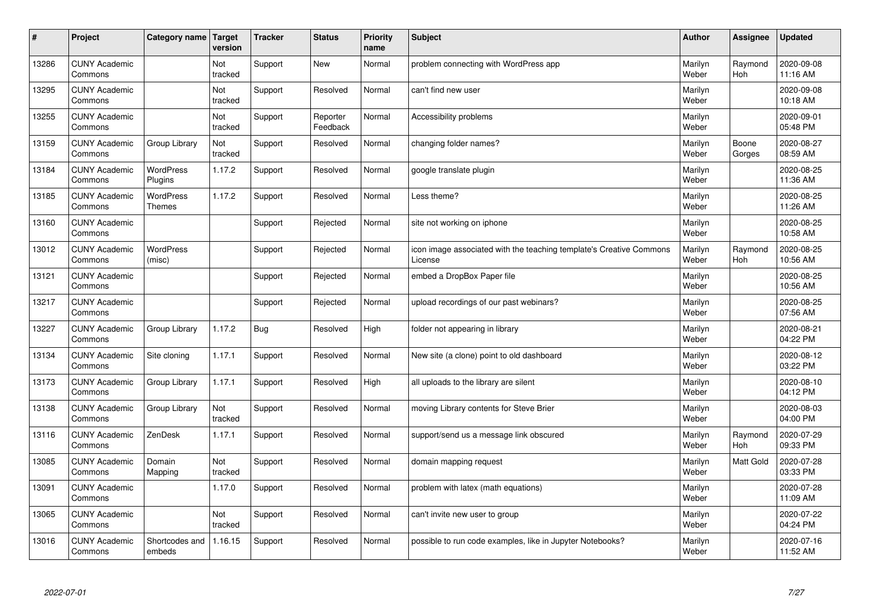| #     | Project                         | Category name                     | Target<br>version | <b>Tracker</b> | <b>Status</b>        | <b>Priority</b><br>name | <b>Subject</b>                                                                 | <b>Author</b>    | Assignee         | <b>Updated</b>         |
|-------|---------------------------------|-----------------------------------|-------------------|----------------|----------------------|-------------------------|--------------------------------------------------------------------------------|------------------|------------------|------------------------|
| 13286 | <b>CUNY Academic</b><br>Commons |                                   | Not<br>tracked    | Support        | <b>New</b>           | Normal                  | problem connecting with WordPress app                                          | Marilyn<br>Weber | Raymond<br>Hoh   | 2020-09-08<br>11:16 AM |
| 13295 | <b>CUNY Academic</b><br>Commons |                                   | Not<br>tracked    | Support        | Resolved             | Normal                  | can't find new user                                                            | Marilyn<br>Weber |                  | 2020-09-08<br>10:18 AM |
| 13255 | <b>CUNY Academic</b><br>Commons |                                   | Not<br>tracked    | Support        | Reporter<br>Feedback | Normal                  | Accessibility problems                                                         | Marilyn<br>Weber |                  | 2020-09-01<br>05:48 PM |
| 13159 | <b>CUNY Academic</b><br>Commons | Group Library                     | Not<br>tracked    | Support        | Resolved             | Normal                  | changing folder names?                                                         | Marilyn<br>Weber | Boone<br>Gorges  | 2020-08-27<br>08:59 AM |
| 13184 | <b>CUNY Academic</b><br>Commons | <b>WordPress</b><br>Plugins       | 1.17.2            | Support        | Resolved             | Normal                  | google translate plugin                                                        | Marilyn<br>Weber |                  | 2020-08-25<br>11:36 AM |
| 13185 | <b>CUNY Academic</b><br>Commons | <b>WordPress</b><br><b>Themes</b> | 1.17.2            | Support        | Resolved             | Normal                  | Less theme?                                                                    | Marilyn<br>Weber |                  | 2020-08-25<br>11:26 AM |
| 13160 | <b>CUNY Academic</b><br>Commons |                                   |                   | Support        | Rejected             | Normal                  | site not working on iphone                                                     | Marilyn<br>Weber |                  | 2020-08-25<br>10:58 AM |
| 13012 | <b>CUNY Academic</b><br>Commons | <b>WordPress</b><br>(misc)        |                   | Support        | Rejected             | Normal                  | icon image associated with the teaching template's Creative Commons<br>License | Marilyn<br>Weber | Raymond<br>Hoh   | 2020-08-25<br>10:56 AM |
| 13121 | <b>CUNY Academic</b><br>Commons |                                   |                   | Support        | Rejected             | Normal                  | embed a DropBox Paper file                                                     | Marilyn<br>Weber |                  | 2020-08-25<br>10:56 AM |
| 13217 | <b>CUNY Academic</b><br>Commons |                                   |                   | Support        | Rejected             | Normal                  | upload recordings of our past webinars?                                        | Marilyn<br>Weber |                  | 2020-08-25<br>07:56 AM |
| 13227 | <b>CUNY Academic</b><br>Commons | Group Library                     | 1.17.2            | <b>Bug</b>     | Resolved             | High                    | folder not appearing in library                                                | Marilyn<br>Weber |                  | 2020-08-21<br>04:22 PM |
| 13134 | <b>CUNY Academic</b><br>Commons | Site cloning                      | 1.17.1            | Support        | Resolved             | Normal                  | New site (a clone) point to old dashboard                                      | Marilyn<br>Weber |                  | 2020-08-12<br>03:22 PM |
| 13173 | <b>CUNY Academic</b><br>Commons | Group Library                     | 1.17.1            | Support        | Resolved             | High                    | all uploads to the library are silent                                          | Marilyn<br>Weber |                  | 2020-08-10<br>04:12 PM |
| 13138 | <b>CUNY Academic</b><br>Commons | Group Library                     | Not<br>tracked    | Support        | Resolved             | Normal                  | moving Library contents for Steve Brier                                        | Marilyn<br>Weber |                  | 2020-08-03<br>04:00 PM |
| 13116 | <b>CUNY Academic</b><br>Commons | ZenDesk                           | 1.17.1            | Support        | Resolved             | Normal                  | support/send us a message link obscured                                        | Marilyn<br>Weber | Raymond<br>Hoh   | 2020-07-29<br>09:33 PM |
| 13085 | <b>CUNY Academic</b><br>Commons | Domain<br>Mapping                 | Not<br>tracked    | Support        | Resolved             | Normal                  | domain mapping request                                                         | Marilyn<br>Weber | <b>Matt Gold</b> | 2020-07-28<br>03:33 PM |
| 13091 | <b>CUNY Academic</b><br>Commons |                                   | 1.17.0            | Support        | Resolved             | Normal                  | problem with latex (math equations)                                            | Marilyn<br>Weber |                  | 2020-07-28<br>11:09 AM |
| 13065 | <b>CUNY Academic</b><br>Commons |                                   | Not<br>tracked    | Support        | Resolved             | Normal                  | can't invite new user to group                                                 | Marilyn<br>Weber |                  | 2020-07-22<br>04:24 PM |
| 13016 | <b>CUNY Academic</b><br>Commons | Shortcodes and<br>embeds          | 1.16.15           | Support        | Resolved             | Normal                  | possible to run code examples, like in Jupyter Notebooks?                      | Marilyn<br>Weber |                  | 2020-07-16<br>11:52 AM |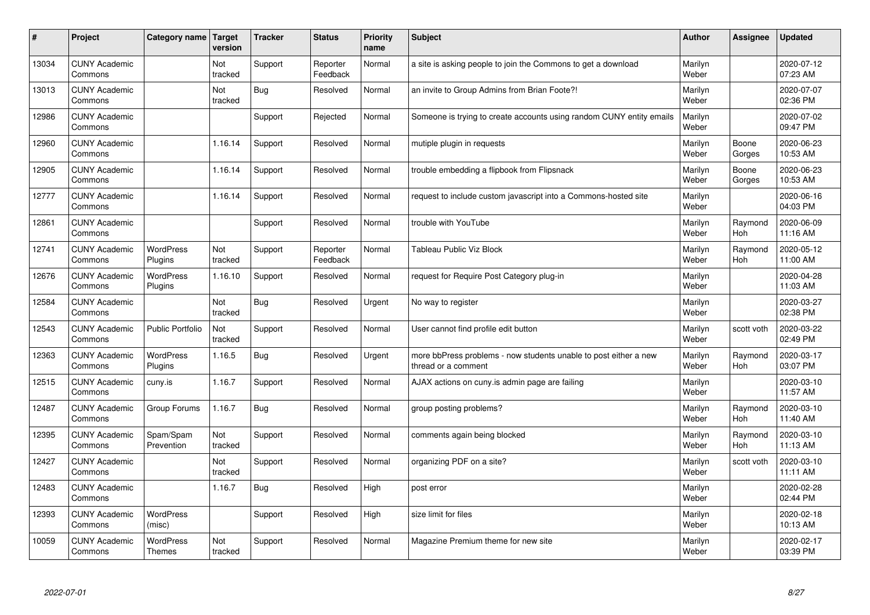| #     | Project                         | Category name               | Target<br>version | <b>Tracker</b> | <b>Status</b>        | <b>Priority</b><br>name | <b>Subject</b>                                                                          | <b>Author</b>    | Assignee              | Updated                |
|-------|---------------------------------|-----------------------------|-------------------|----------------|----------------------|-------------------------|-----------------------------------------------------------------------------------------|------------------|-----------------------|------------------------|
| 13034 | <b>CUNY Academic</b><br>Commons |                             | Not<br>tracked    | Support        | Reporter<br>Feedback | Normal                  | a site is asking people to join the Commons to get a download                           | Marilyn<br>Weber |                       | 2020-07-12<br>07:23 AM |
| 13013 | <b>CUNY Academic</b><br>Commons |                             | Not<br>tracked    | <b>Bug</b>     | Resolved             | Normal                  | an invite to Group Admins from Brian Foote?!                                            | Marilyn<br>Weber |                       | 2020-07-07<br>02:36 PM |
| 12986 | <b>CUNY Academic</b><br>Commons |                             |                   | Support        | Rejected             | Normal                  | Someone is trying to create accounts using random CUNY entity emails                    | Marilyn<br>Weber |                       | 2020-07-02<br>09:47 PM |
| 12960 | <b>CUNY Academic</b><br>Commons |                             | 1.16.14           | Support        | Resolved             | Normal                  | mutiple plugin in requests                                                              | Marilyn<br>Weber | Boone<br>Gorges       | 2020-06-23<br>10:53 AM |
| 12905 | <b>CUNY Academic</b><br>Commons |                             | 1.16.14           | Support        | Resolved             | Normal                  | trouble embedding a flipbook from Flipsnack                                             | Marilyn<br>Weber | Boone<br>Gorges       | 2020-06-23<br>10:53 AM |
| 12777 | <b>CUNY Academic</b><br>Commons |                             | 1.16.14           | Support        | Resolved             | Normal                  | request to include custom javascript into a Commons-hosted site                         | Marilyn<br>Weber |                       | 2020-06-16<br>04:03 PM |
| 12861 | <b>CUNY Academic</b><br>Commons |                             |                   | Support        | Resolved             | Normal                  | trouble with YouTube                                                                    | Marilyn<br>Weber | Raymond<br>Hoh        | 2020-06-09<br>11:16 AM |
| 12741 | <b>CUNY Academic</b><br>Commons | <b>WordPress</b><br>Plugins | Not<br>tracked    | Support        | Reporter<br>Feedback | Normal                  | <b>Tableau Public Viz Block</b>                                                         | Marilyn<br>Weber | Raymond<br>Hoh        | 2020-05-12<br>11:00 AM |
| 12676 | <b>CUNY Academic</b><br>Commons | <b>WordPress</b><br>Plugins | 1.16.10           | Support        | Resolved             | Normal                  | request for Require Post Category plug-in                                               | Marilyn<br>Weber |                       | 2020-04-28<br>11:03 AM |
| 12584 | <b>CUNY Academic</b><br>Commons |                             | Not<br>tracked    | Bug            | Resolved             | Urgent                  | No way to register                                                                      | Marilyn<br>Weber |                       | 2020-03-27<br>02:38 PM |
| 12543 | <b>CUNY Academic</b><br>Commons | <b>Public Portfolio</b>     | Not<br>tracked    | Support        | Resolved             | Normal                  | User cannot find profile edit button                                                    | Marilyn<br>Weber | scott voth            | 2020-03-22<br>02:49 PM |
| 12363 | <b>CUNY Academic</b><br>Commons | <b>WordPress</b><br>Plugins | 1.16.5            | Bug            | Resolved             | Urgent                  | more bbPress problems - now students unable to post either a new<br>thread or a comment | Marilyn<br>Weber | Raymond<br>Hoh        | 2020-03-17<br>03:07 PM |
| 12515 | <b>CUNY Academic</b><br>Commons | cuny.is                     | 1.16.7            | Support        | Resolved             | Normal                  | AJAX actions on cuny is admin page are failing                                          | Marilyn<br>Weber |                       | 2020-03-10<br>11:57 AM |
| 12487 | <b>CUNY Academic</b><br>Commons | Group Forums                | 1.16.7            | Bug            | Resolved             | Normal                  | group posting problems?                                                                 | Marilyn<br>Weber | Raymond<br><b>Hoh</b> | 2020-03-10<br>11:40 AM |
| 12395 | <b>CUNY Academic</b><br>Commons | Spam/Spam<br>Prevention     | Not<br>tracked    | Support        | Resolved             | Normal                  | comments again being blocked                                                            | Marilyn<br>Weber | Raymond<br><b>Hoh</b> | 2020-03-10<br>11:13 AM |
| 12427 | <b>CUNY Academic</b><br>Commons |                             | Not<br>tracked    | Support        | Resolved             | Normal                  | organizing PDF on a site?                                                               | Marilyn<br>Weber | scott voth            | 2020-03-10<br>11:11 AM |
| 12483 | <b>CUNY Academic</b><br>Commons |                             | 1.16.7            | Bug            | Resolved             | High                    | post error                                                                              | Marilyn<br>Weber |                       | 2020-02-28<br>02:44 PM |
| 12393 | <b>CUNY Academic</b><br>Commons | <b>WordPress</b><br>(misc)  |                   | Support        | Resolved             | High                    | size limit for files                                                                    | Marilyn<br>Weber |                       | 2020-02-18<br>10:13 AM |
| 10059 | <b>CUNY Academic</b><br>Commons | <b>WordPress</b><br>Themes  | Not<br>tracked    | Support        | Resolved             | Normal                  | Magazine Premium theme for new site                                                     | Marilyn<br>Weber |                       | 2020-02-17<br>03:39 PM |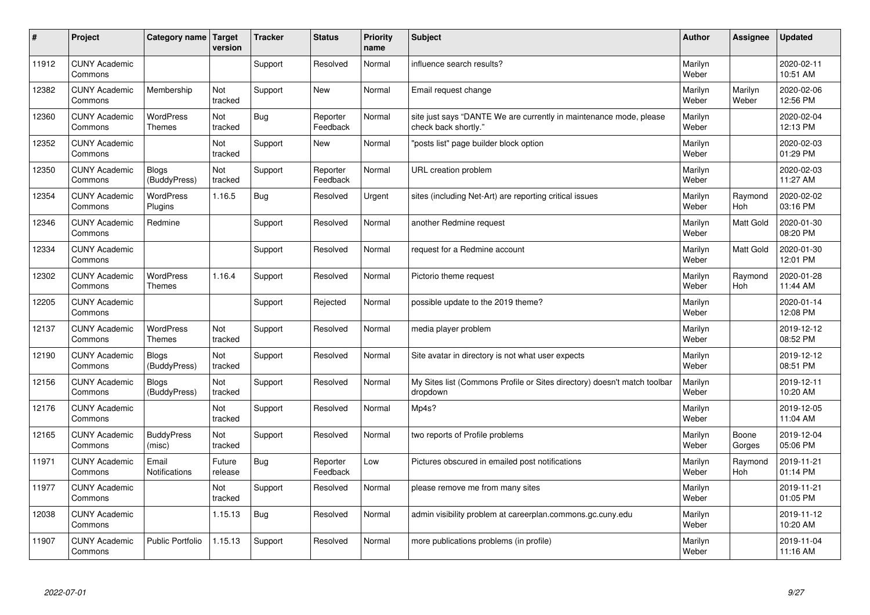| #     | Project                         | Category name   Target            | version           | <b>Tracker</b> | <b>Status</b>        | <b>Priority</b><br>name | <b>Subject</b>                                                                             | <b>Author</b>    | Assignee              | Updated                |
|-------|---------------------------------|-----------------------------------|-------------------|----------------|----------------------|-------------------------|--------------------------------------------------------------------------------------------|------------------|-----------------------|------------------------|
| 11912 | <b>CUNY Academic</b><br>Commons |                                   |                   | Support        | Resolved             | Normal                  | influence search results?                                                                  | Marilyn<br>Weber |                       | 2020-02-11<br>10:51 AM |
| 12382 | <b>CUNY Academic</b><br>Commons | Membership                        | Not<br>tracked    | Support        | New                  | Normal                  | Email request change                                                                       | Marilyn<br>Weber | Marilyn<br>Weber      | 2020-02-06<br>12:56 PM |
| 12360 | <b>CUNY Academic</b><br>Commons | <b>WordPress</b><br><b>Themes</b> | Not<br>tracked    | Bug            | Reporter<br>Feedback | Normal                  | site just says "DANTE We are currently in maintenance mode, please<br>check back shortly." | Marilyn<br>Weber |                       | 2020-02-04<br>12:13 PM |
| 12352 | <b>CUNY Academic</b><br>Commons |                                   | Not<br>tracked    | Support        | <b>New</b>           | Normal                  | 'posts list" page builder block option                                                     | Marilyn<br>Weber |                       | 2020-02-03<br>01:29 PM |
| 12350 | <b>CUNY Academic</b><br>Commons | <b>Blogs</b><br>(BuddyPress)      | Not<br>tracked    | Support        | Reporter<br>Feedback | Normal                  | URL creation problem                                                                       | Marilyn<br>Weber |                       | 2020-02-03<br>11:27 AM |
| 12354 | <b>CUNY Academic</b><br>Commons | WordPress<br>Plugins              | 1.16.5            | Bug            | Resolved             | Urgent                  | sites (including Net-Art) are reporting critical issues                                    | Marilyn<br>Weber | Raymond<br>Hoh        | 2020-02-02<br>03:16 PM |
| 12346 | <b>CUNY Academic</b><br>Commons | Redmine                           |                   | Support        | Resolved             | Normal                  | another Redmine request                                                                    | Marilyn<br>Weber | Matt Gold             | 2020-01-30<br>08:20 PM |
| 12334 | <b>CUNY Academic</b><br>Commons |                                   |                   | Support        | Resolved             | Normal                  | request for a Redmine account                                                              | Marilyn<br>Weber | Matt Gold             | 2020-01-30<br>12:01 PM |
| 12302 | <b>CUNY Academic</b><br>Commons | <b>WordPress</b><br>Themes        | 1.16.4            | Support        | Resolved             | Normal                  | Pictorio theme request                                                                     | Marilyn<br>Weber | Raymond<br><b>Hoh</b> | 2020-01-28<br>11:44 AM |
| 12205 | <b>CUNY Academic</b><br>Commons |                                   |                   | Support        | Rejected             | Normal                  | possible update to the 2019 theme?                                                         | Marilyn<br>Weber |                       | 2020-01-14<br>12:08 PM |
| 12137 | <b>CUNY Academic</b><br>Commons | <b>WordPress</b><br><b>Themes</b> | Not<br>tracked    | Support        | Resolved             | Normal                  | media player problem                                                                       | Marilyn<br>Weber |                       | 2019-12-12<br>08:52 PM |
| 12190 | <b>CUNY Academic</b><br>Commons | Blogs<br>(BuddyPress)             | Not<br>tracked    | Support        | Resolved             | Normal                  | Site avatar in directory is not what user expects                                          | Marilyn<br>Weber |                       | 2019-12-12<br>08:51 PM |
| 12156 | <b>CUNY Academic</b><br>Commons | <b>Blogs</b><br>(BuddyPress)      | Not<br>tracked    | Support        | Resolved             | Normal                  | My Sites list (Commons Profile or Sites directory) doesn't match toolbar<br>dropdown       | Marilyn<br>Weber |                       | 2019-12-11<br>10:20 AM |
| 12176 | <b>CUNY Academic</b><br>Commons |                                   | Not<br>tracked    | Support        | Resolved             | Normal                  | Mp4s?                                                                                      | Marilyn<br>Weber |                       | 2019-12-05<br>11:04 AM |
| 12165 | <b>CUNY Academic</b><br>Commons | <b>BuddyPress</b><br>(misc)       | Not<br>tracked    | Support        | Resolved             | Normal                  | two reports of Profile problems                                                            | Marilyn<br>Weber | Boone<br>Gorges       | 2019-12-04<br>05:06 PM |
| 11971 | <b>CUNY Academic</b><br>Commons | Email<br><b>Notifications</b>     | Future<br>release | Bug            | Reporter<br>Feedback | Low                     | Pictures obscured in emailed post notifications                                            | Marilyn<br>Weber | Raymond<br><b>Hoh</b> | 2019-11-21<br>01:14 PM |
| 11977 | <b>CUNY Academic</b><br>Commons |                                   | Not<br>tracked    | Support        | Resolved             | Normal                  | please remove me from many sites                                                           | Marilyn<br>Weber |                       | 2019-11-21<br>01:05 PM |
| 12038 | <b>CUNY Academic</b><br>Commons |                                   | 1.15.13           | Bug            | Resolved             | Normal                  | admin visibility problem at careerplan.commons.gc.cuny.edu                                 | Marilyn<br>Weber |                       | 2019-11-12<br>10:20 AM |
| 11907 | <b>CUNY Academic</b><br>Commons | <b>Public Portfolio</b>           | 1.15.13           | Support        | Resolved             | Normal                  | more publications problems (in profile)                                                    | Marilyn<br>Weber |                       | 2019-11-04<br>11:16 AM |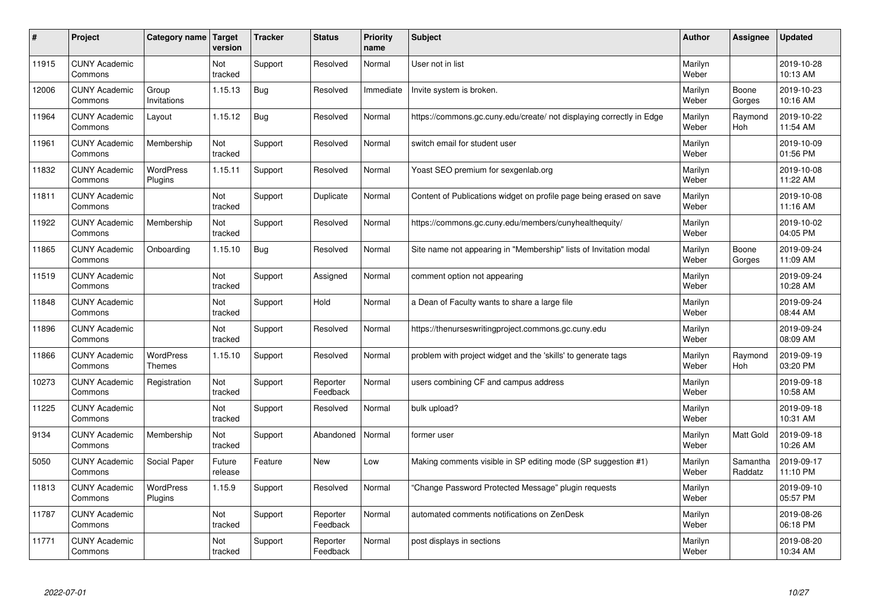| #     | Project                         | Category name   Target            | version           | <b>Tracker</b> | <b>Status</b>        | <b>Priority</b><br>name | <b>Subject</b>                                                       | <b>Author</b>    | Assignee              | <b>Updated</b>         |
|-------|---------------------------------|-----------------------------------|-------------------|----------------|----------------------|-------------------------|----------------------------------------------------------------------|------------------|-----------------------|------------------------|
| 11915 | <b>CUNY Academic</b><br>Commons |                                   | Not<br>tracked    | Support        | Resolved             | Normal                  | User not in list                                                     | Marilyn<br>Weber |                       | 2019-10-28<br>10:13 AM |
| 12006 | <b>CUNY Academic</b><br>Commons | Group<br>Invitations              | 1.15.13           | Bug            | Resolved             | Immediate               | Invite system is broken.                                             | Marilyn<br>Weber | Boone<br>Gorges       | 2019-10-23<br>10:16 AM |
| 11964 | <b>CUNY Academic</b><br>Commons | Layout                            | 1.15.12           | Bug            | Resolved             | Normal                  | https://commons.gc.cuny.edu/create/ not displaying correctly in Edge | Marilyn<br>Weber | Raymond<br>Hoh        | 2019-10-22<br>11:54 AM |
| 11961 | <b>CUNY Academic</b><br>Commons | Membership                        | Not<br>tracked    | Support        | Resolved             | Normal                  | switch email for student user                                        | Marilyn<br>Weber |                       | 2019-10-09<br>01:56 PM |
| 11832 | <b>CUNY Academic</b><br>Commons | <b>WordPress</b><br>Plugins       | 1.15.11           | Support        | Resolved             | Normal                  | Yoast SEO premium for sexgenlab.org                                  | Marilyn<br>Weber |                       | 2019-10-08<br>11:22 AM |
| 11811 | <b>CUNY Academic</b><br>Commons |                                   | Not<br>tracked    | Support        | Duplicate            | Normal                  | Content of Publications widget on profile page being erased on save  | Marilyn<br>Weber |                       | 2019-10-08<br>11:16 AM |
| 11922 | <b>CUNY Academic</b><br>Commons | Membership                        | Not<br>tracked    | Support        | Resolved             | Normal                  | https://commons.gc.cuny.edu/members/cunyhealthequity/                | Marilyn<br>Weber |                       | 2019-10-02<br>04:05 PM |
| 11865 | <b>CUNY Academic</b><br>Commons | Onboarding                        | 1.15.10           | Bug            | Resolved             | Normal                  | Site name not appearing in "Membership" lists of Invitation modal    | Marilyn<br>Weber | Boone<br>Gorges       | 2019-09-24<br>11:09 AM |
| 11519 | <b>CUNY Academic</b><br>Commons |                                   | Not<br>tracked    | Support        | Assigned             | Normal                  | comment option not appearing                                         | Marilyn<br>Weber |                       | 2019-09-24<br>10:28 AM |
| 11848 | <b>CUNY Academic</b><br>Commons |                                   | Not<br>tracked    | Support        | Hold                 | Normal                  | a Dean of Faculty wants to share a large file                        | Marilyn<br>Weber |                       | 2019-09-24<br>08:44 AM |
| 11896 | <b>CUNY Academic</b><br>Commons |                                   | Not<br>tracked    | Support        | Resolved             | Normal                  | https://thenurseswritingproject.commons.gc.cuny.edu                  | Marilyn<br>Weber |                       | 2019-09-24<br>08:09 AM |
| 11866 | <b>CUNY Academic</b><br>Commons | <b>WordPress</b><br><b>Themes</b> | 1.15.10           | Support        | Resolved             | Normal                  | problem with project widget and the 'skills' to generate tags        | Marilyn<br>Weber | Raymond<br><b>Hoh</b> | 2019-09-19<br>03:20 PM |
| 10273 | <b>CUNY Academic</b><br>Commons | Registration                      | Not<br>tracked    | Support        | Reporter<br>Feedback | Normal                  | users combining CF and campus address                                | Marilyn<br>Weber |                       | 2019-09-18<br>10:58 AM |
| 11225 | <b>CUNY Academic</b><br>Commons |                                   | Not<br>tracked    | Support        | Resolved             | Normal                  | bulk upload?                                                         | Marilyn<br>Weber |                       | 2019-09-18<br>10:31 AM |
| 9134  | <b>CUNY Academic</b><br>Commons | Membership                        | Not<br>tracked    | Support        | Abandoned            | Normal                  | former user                                                          | Marilyn<br>Weber | <b>Matt Gold</b>      | 2019-09-18<br>10:26 AM |
| 5050  | <b>CUNY Academic</b><br>Commons | Social Paper                      | Future<br>release | Feature        | <b>New</b>           | Low                     | Making comments visible in SP editing mode (SP suggestion #1)        | Marilyn<br>Weber | Samantha<br>Raddatz   | 2019-09-17<br>11:10 PM |
| 11813 | <b>CUNY Academic</b><br>Commons | WordPress<br>Plugins              | 1.15.9            | Support        | Resolved             | Normal                  | 'Change Password Protected Message" plugin requests                  | Marilyn<br>Weber |                       | 2019-09-10<br>05:57 PM |
| 11787 | <b>CUNY Academic</b><br>Commons |                                   | Not<br>tracked    | Support        | Reporter<br>Feedback | Normal                  | automated comments notifications on ZenDesk                          | Marilyn<br>Weber |                       | 2019-08-26<br>06:18 PM |
| 11771 | <b>CUNY Academic</b><br>Commons |                                   | Not<br>tracked    | Support        | Reporter<br>Feedback | Normal                  | post displays in sections                                            | Marilyn<br>Weber |                       | 2019-08-20<br>10:34 AM |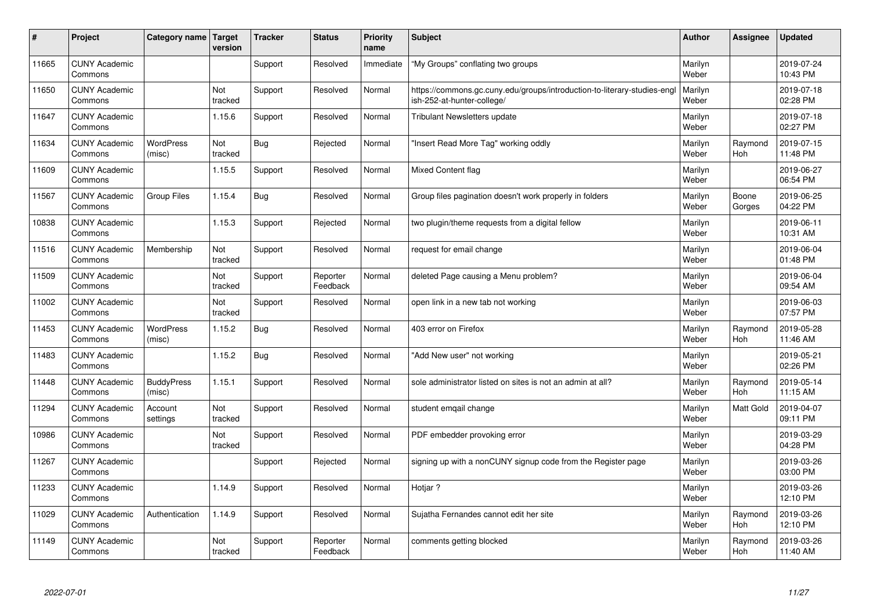| $\sharp$ | Project                         | Category name   Target      | version        | <b>Tracker</b> | <b>Status</b>        | <b>Priority</b><br>name | <b>Subject</b>                                                                                        | <b>Author</b>    | Assignee         | <b>Updated</b>         |
|----------|---------------------------------|-----------------------------|----------------|----------------|----------------------|-------------------------|-------------------------------------------------------------------------------------------------------|------------------|------------------|------------------------|
| 11665    | <b>CUNY Academic</b><br>Commons |                             |                | Support        | Resolved             | Immediate               | "My Groups" conflating two groups                                                                     | Marilyn<br>Weber |                  | 2019-07-24<br>10:43 PM |
| 11650    | <b>CUNY Academic</b><br>Commons |                             | Not<br>tracked | Support        | Resolved             | Normal                  | https://commons.gc.cuny.edu/groups/introduction-to-literary-studies-eng<br>ish-252-at-hunter-college/ | Marilyn<br>Weber |                  | 2019-07-18<br>02:28 PM |
| 11647    | <b>CUNY Academic</b><br>Commons |                             | 1.15.6         | Support        | Resolved             | Normal                  | <b>Tribulant Newsletters update</b>                                                                   | Marilyn<br>Weber |                  | 2019-07-18<br>02:27 PM |
| 11634    | <b>CUNY Academic</b><br>Commons | <b>WordPress</b><br>(misc)  | Not<br>tracked | Bug            | Rejected             | Normal                  | 'Insert Read More Tag" working oddly                                                                  | Marilyn<br>Weber | Raymond<br>Hoh   | 2019-07-15<br>11:48 PM |
| 11609    | <b>CUNY Academic</b><br>Commons |                             | 1.15.5         | Support        | Resolved             | Normal                  | Mixed Content flag                                                                                    | Marilyn<br>Weber |                  | 2019-06-27<br>06:54 PM |
| 11567    | <b>CUNY Academic</b><br>Commons | <b>Group Files</b>          | 1.15.4         | Bug            | Resolved             | Normal                  | Group files pagination doesn't work properly in folders                                               | Marilyn<br>Weber | Boone<br>Gorges  | 2019-06-25<br>04:22 PM |
| 10838    | <b>CUNY Academic</b><br>Commons |                             | 1.15.3         | Support        | Rejected             | Normal                  | two plugin/theme requests from a digital fellow                                                       | Marilyn<br>Weber |                  | 2019-06-11<br>10:31 AM |
| 11516    | <b>CUNY Academic</b><br>Commons | Membership                  | Not<br>tracked | Support        | Resolved             | Normal                  | request for email change                                                                              | Marilyn<br>Weber |                  | 2019-06-04<br>01:48 PM |
| 11509    | <b>CUNY Academic</b><br>Commons |                             | Not<br>tracked | Support        | Reporter<br>Feedback | Normal                  | deleted Page causing a Menu problem?                                                                  | Marilyn<br>Weber |                  | 2019-06-04<br>09:54 AM |
| 11002    | <b>CUNY Academic</b><br>Commons |                             | Not<br>tracked | Support        | Resolved             | Normal                  | open link in a new tab not working                                                                    | Marilyn<br>Weber |                  | 2019-06-03<br>07:57 PM |
| 11453    | <b>CUNY Academic</b><br>Commons | <b>WordPress</b><br>(misc)  | 1.15.2         | Bug            | Resolved             | Normal                  | 403 error on Firefox                                                                                  | Marilyn<br>Weber | Raymond<br>Hoh   | 2019-05-28<br>11:46 AM |
| 11483    | <b>CUNY Academic</b><br>Commons |                             | 1.15.2         | Bug            | Resolved             | Normal                  | 'Add New user" not working                                                                            | Marilyn<br>Weber |                  | 2019-05-21<br>02:26 PM |
| 11448    | <b>CUNY Academic</b><br>Commons | <b>BuddyPress</b><br>(misc) | 1.15.1         | Support        | Resolved             | Normal                  | sole administrator listed on sites is not an admin at all?                                            | Marilyn<br>Weber | Raymond<br>Hoh   | 2019-05-14<br>11:15 AM |
| 11294    | <b>CUNY Academic</b><br>Commons | Account<br>settings         | Not<br>tracked | Support        | Resolved             | Normal                  | student emgail change                                                                                 | Marilyn<br>Weber | <b>Matt Gold</b> | 2019-04-07<br>09:11 PM |
| 10986    | <b>CUNY Academic</b><br>Commons |                             | Not<br>tracked | Support        | Resolved             | Normal                  | PDF embedder provoking error                                                                          | Marilyn<br>Weber |                  | 2019-03-29<br>04:28 PM |
| 11267    | <b>CUNY Academic</b><br>Commons |                             |                | Support        | Rejected             | Normal                  | signing up with a nonCUNY signup code from the Register page                                          | Marilyn<br>Weber |                  | 2019-03-26<br>03:00 PM |
| 11233    | <b>CUNY Academic</b><br>Commons |                             | 1.14.9         | Support        | Resolved             | Normal                  | Hotjar?                                                                                               | Marilyn<br>Weber |                  | 2019-03-26<br>12:10 PM |
| 11029    | <b>CUNY Academic</b><br>Commons | Authentication              | 1.14.9         | Support        | Resolved             | Normal                  | Sujatha Fernandes cannot edit her site                                                                | Marilyn<br>Weber | Raymond<br>Hoh   | 2019-03-26<br>12:10 PM |
| 11149    | <b>CUNY Academic</b><br>Commons |                             | Not<br>tracked | Support        | Reporter<br>Feedback | Normal                  | comments getting blocked                                                                              | Marilyn<br>Weber | Raymond<br>Hoh   | 2019-03-26<br>11:40 AM |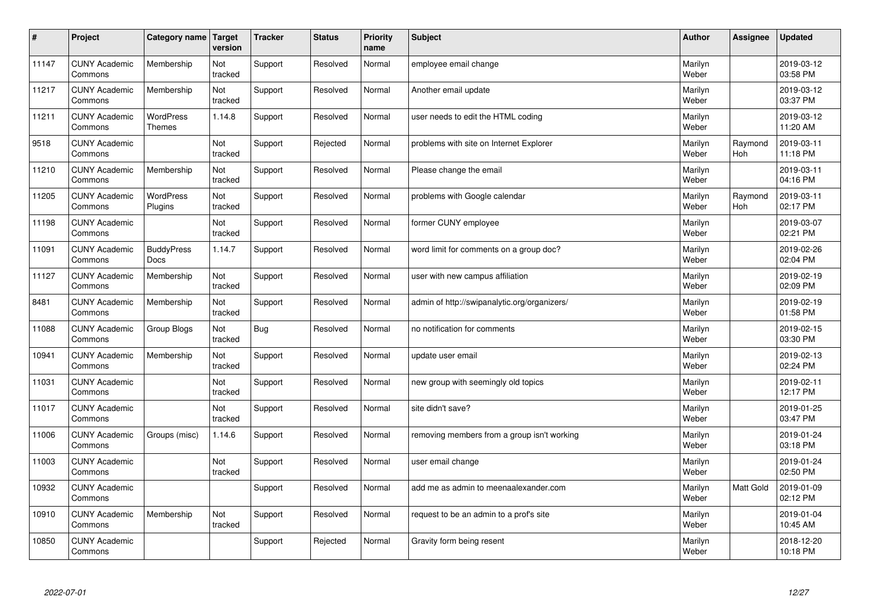| $\sharp$ | Project                         | Category name   Target            | version        | <b>Tracker</b> | <b>Status</b> | <b>Priority</b><br>name | <b>Subject</b>                               | <b>Author</b>    | Assignee              | Updated                |
|----------|---------------------------------|-----------------------------------|----------------|----------------|---------------|-------------------------|----------------------------------------------|------------------|-----------------------|------------------------|
| 11147    | <b>CUNY Academic</b><br>Commons | Membership                        | Not<br>tracked | Support        | Resolved      | Normal                  | employee email change                        | Marilyn<br>Weber |                       | 2019-03-12<br>03:58 PM |
| 11217    | <b>CUNY Academic</b><br>Commons | Membership                        | Not<br>tracked | Support        | Resolved      | Normal                  | Another email update                         | Marilyn<br>Weber |                       | 2019-03-12<br>03:37 PM |
| 11211    | <b>CUNY Academic</b><br>Commons | <b>WordPress</b><br><b>Themes</b> | 1.14.8         | Support        | Resolved      | Normal                  | user needs to edit the HTML coding           | Marilyn<br>Weber |                       | 2019-03-12<br>11:20 AM |
| 9518     | <b>CUNY Academic</b><br>Commons |                                   | Not<br>tracked | Support        | Rejected      | Normal                  | problems with site on Internet Explorer      | Marilyn<br>Weber | Raymond<br><b>Hoh</b> | 2019-03-11<br>11:18 PM |
| 11210    | <b>CUNY Academic</b><br>Commons | Membership                        | Not<br>tracked | Support        | Resolved      | Normal                  | Please change the email                      | Marilyn<br>Weber |                       | 2019-03-11<br>04:16 PM |
| 11205    | <b>CUNY Academic</b><br>Commons | WordPress<br>Plugins              | Not<br>tracked | Support        | Resolved      | Normal                  | problems with Google calendar                | Marilyn<br>Weber | Raymond<br>Hoh        | 2019-03-11<br>02:17 PM |
| 11198    | <b>CUNY Academic</b><br>Commons |                                   | Not<br>tracked | Support        | Resolved      | Normal                  | former CUNY employee                         | Marilyn<br>Weber |                       | 2019-03-07<br>02:21 PM |
| 11091    | <b>CUNY Academic</b><br>Commons | <b>BuddyPress</b><br>Docs         | 1.14.7         | Support        | Resolved      | Normal                  | word limit for comments on a group doc?      | Marilyn<br>Weber |                       | 2019-02-26<br>02:04 PM |
| 11127    | <b>CUNY Academic</b><br>Commons | Membership                        | Not<br>tracked | Support        | Resolved      | Normal                  | user with new campus affiliation             | Marilyn<br>Weber |                       | 2019-02-19<br>02:09 PM |
| 8481     | <b>CUNY Academic</b><br>Commons | Membership                        | Not<br>tracked | Support        | Resolved      | Normal                  | admin of http://swipanalytic.org/organizers/ | Marilyn<br>Weber |                       | 2019-02-19<br>01:58 PM |
| 11088    | <b>CUNY Academic</b><br>Commons | Group Blogs                       | Not<br>tracked | Bug            | Resolved      | Normal                  | no notification for comments                 | Marilyn<br>Weber |                       | 2019-02-15<br>03:30 PM |
| 10941    | <b>CUNY Academic</b><br>Commons | Membership                        | Not<br>tracked | Support        | Resolved      | Normal                  | update user email                            | Marilyn<br>Weber |                       | 2019-02-13<br>02:24 PM |
| 11031    | <b>CUNY Academic</b><br>Commons |                                   | Not<br>tracked | Support        | Resolved      | Normal                  | new group with seemingly old topics          | Marilyn<br>Weber |                       | 2019-02-11<br>12:17 PM |
| 11017    | <b>CUNY Academic</b><br>Commons |                                   | Not<br>tracked | Support        | Resolved      | Normal                  | site didn't save?                            | Marilyn<br>Weber |                       | 2019-01-25<br>03:47 PM |
| 11006    | <b>CUNY Academic</b><br>Commons | Groups (misc)                     | 1.14.6         | Support        | Resolved      | Normal                  | removing members from a group isn't working  | Marilyn<br>Weber |                       | 2019-01-24<br>03:18 PM |
| 11003    | <b>CUNY Academic</b><br>Commons |                                   | Not<br>tracked | Support        | Resolved      | Normal                  | user email change                            | Marilyn<br>Weber |                       | 2019-01-24<br>02:50 PM |
| 10932    | <b>CUNY Academic</b><br>Commons |                                   |                | Support        | Resolved      | Normal                  | add me as admin to meenaalexander.com        | Marilyn<br>Weber | Matt Gold             | 2019-01-09<br>02:12 PM |
| 10910    | <b>CUNY Academic</b><br>Commons | Membership                        | Not<br>tracked | Support        | Resolved      | Normal                  | request to be an admin to a prof's site      | Marilyn<br>Weber |                       | 2019-01-04<br>10:45 AM |
| 10850    | <b>CUNY Academic</b><br>Commons |                                   |                | Support        | Rejected      | Normal                  | Gravity form being resent                    | Marilyn<br>Weber |                       | 2018-12-20<br>10:18 PM |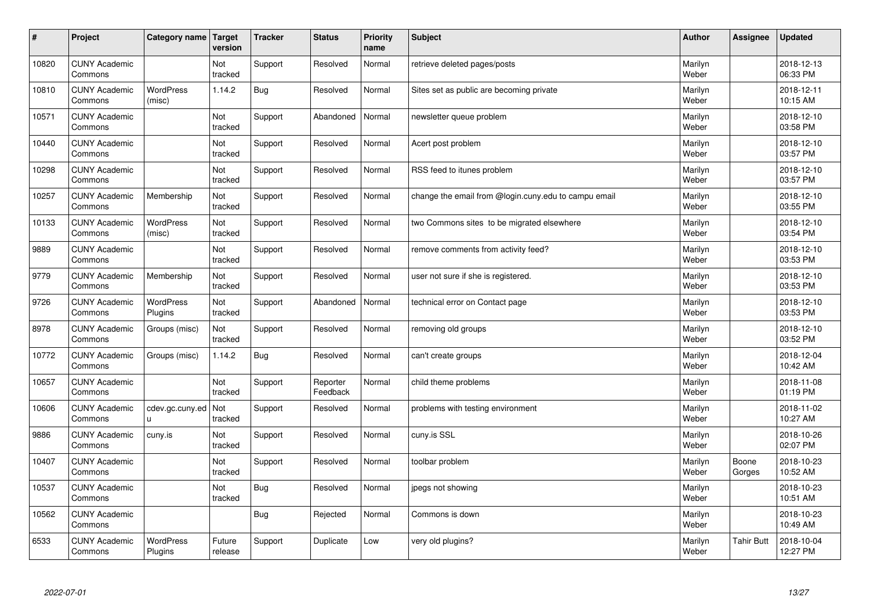| $\pmb{\#}$ | Project                         | Category name               | Target<br>version | <b>Tracker</b> | <b>Status</b>        | <b>Priority</b><br>name | <b>Subject</b>                                       | <b>Author</b>    | Assignee        | <b>Updated</b>         |
|------------|---------------------------------|-----------------------------|-------------------|----------------|----------------------|-------------------------|------------------------------------------------------|------------------|-----------------|------------------------|
| 10820      | <b>CUNY Academic</b><br>Commons |                             | Not<br>tracked    | Support        | Resolved             | Normal                  | retrieve deleted pages/posts                         | Marilyn<br>Weber |                 | 2018-12-13<br>06:33 PM |
| 10810      | <b>CUNY Academic</b><br>Commons | <b>WordPress</b><br>(misc)  | 1.14.2            | <b>Bug</b>     | Resolved             | Normal                  | Sites set as public are becoming private             | Marilyn<br>Weber |                 | 2018-12-11<br>10:15 AM |
| 10571      | <b>CUNY Academic</b><br>Commons |                             | Not<br>tracked    | Support        | Abandoned            | Normal                  | newsletter queue problem                             | Marilyn<br>Weber |                 | 2018-12-10<br>03:58 PM |
| 10440      | <b>CUNY Academic</b><br>Commons |                             | Not<br>tracked    | Support        | Resolved             | Normal                  | Acert post problem                                   | Marilyn<br>Weber |                 | 2018-12-10<br>03:57 PM |
| 10298      | <b>CUNY Academic</b><br>Commons |                             | Not<br>tracked    | Support        | Resolved             | Normal                  | RSS feed to itunes problem                           | Marilyn<br>Weber |                 | 2018-12-10<br>03:57 PM |
| 10257      | <b>CUNY Academic</b><br>Commons | Membership                  | Not<br>tracked    | Support        | Resolved             | Normal                  | change the email from @login.cuny.edu to campu email | Marilyn<br>Weber |                 | 2018-12-10<br>03:55 PM |
| 10133      | <b>CUNY Academic</b><br>Commons | <b>WordPress</b><br>(misc)  | Not<br>tracked    | Support        | Resolved             | Normal                  | two Commons sites to be migrated elsewhere           | Marilyn<br>Weber |                 | 2018-12-10<br>03:54 PM |
| 9889       | <b>CUNY Academic</b><br>Commons |                             | Not<br>tracked    | Support        | Resolved             | Normal                  | remove comments from activity feed?                  | Marilyn<br>Weber |                 | 2018-12-10<br>03:53 PM |
| 9779       | <b>CUNY Academic</b><br>Commons | Membership                  | Not<br>tracked    | Support        | Resolved             | Normal                  | user not sure if she is registered.                  | Marilyn<br>Weber |                 | 2018-12-10<br>03:53 PM |
| 9726       | <b>CUNY Academic</b><br>Commons | <b>WordPress</b><br>Plugins | Not<br>tracked    | Support        | Abandoned            | Normal                  | technical error on Contact page                      | Marilyn<br>Weber |                 | 2018-12-10<br>03:53 PM |
| 8978       | <b>CUNY Academic</b><br>Commons | Groups (misc)               | Not<br>tracked    | Support        | Resolved             | Normal                  | removing old groups                                  | Marilyn<br>Weber |                 | 2018-12-10<br>03:52 PM |
| 10772      | <b>CUNY Academic</b><br>Commons | Groups (misc)               | 1.14.2            | Bug            | Resolved             | Normal                  | can't create groups                                  | Marilyn<br>Weber |                 | 2018-12-04<br>10:42 AM |
| 10657      | <b>CUNY Academic</b><br>Commons |                             | Not<br>tracked    | Support        | Reporter<br>Feedback | Normal                  | child theme problems                                 | Marilyn<br>Weber |                 | 2018-11-08<br>01:19 PM |
| 10606      | <b>CUNY Academic</b><br>Commons | cdev.gc.cuny.ed<br>U.       | Not<br>tracked    | Support        | Resolved             | Normal                  | problems with testing environment                    | Marilyn<br>Weber |                 | 2018-11-02<br>10:27 AM |
| 9886       | <b>CUNY Academic</b><br>Commons | cuny.is                     | Not<br>tracked    | Support        | Resolved             | Normal                  | cuny.is SSL                                          | Marilyn<br>Weber |                 | 2018-10-26<br>02:07 PM |
| 10407      | <b>CUNY Academic</b><br>Commons |                             | Not<br>tracked    | Support        | Resolved             | Normal                  | toolbar problem                                      | Marilyn<br>Weber | Boone<br>Gorges | 2018-10-23<br>10:52 AM |
| 10537      | <b>CUNY Academic</b><br>Commons |                             | Not<br>tracked    | <b>Bug</b>     | Resolved             | Normal                  | jpegs not showing                                    | Marilyn<br>Weber |                 | 2018-10-23<br>10:51 AM |
| 10562      | <b>CUNY Academic</b><br>Commons |                             |                   | <b>Bug</b>     | Rejected             | Normal                  | Commons is down                                      | Marilyn<br>Weber |                 | 2018-10-23<br>10:49 AM |
| 6533       | <b>CUNY Academic</b><br>Commons | <b>WordPress</b><br>Plugins | Future<br>release | Support        | Duplicate            | Low                     | very old plugins?                                    | Marilyn<br>Weber | Tahir Butt      | 2018-10-04<br>12:27 PM |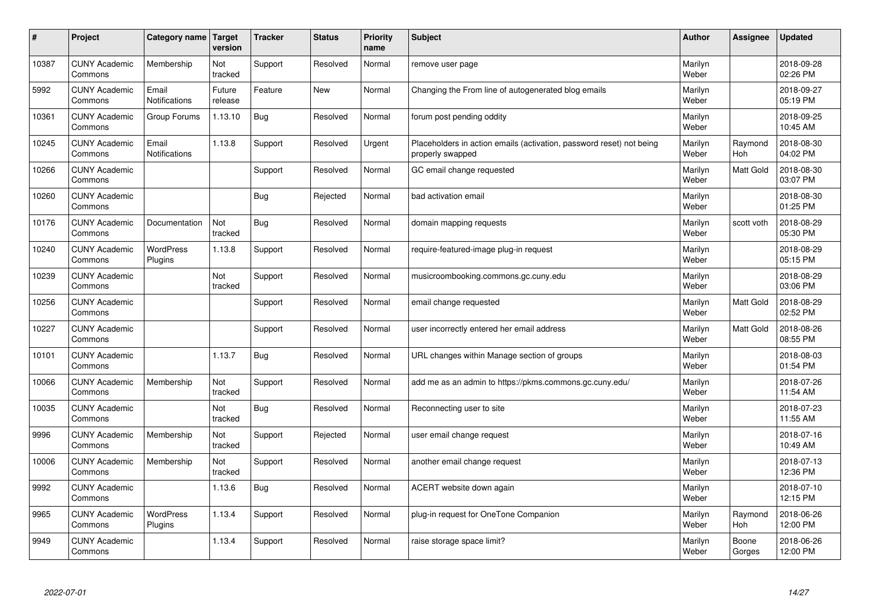| #     | Project                         | Category name   Target | version           | <b>Tracker</b> | <b>Status</b> | <b>Priority</b><br>name | <b>Subject</b>                                                                           | <b>Author</b>    | Assignee         | <b>Updated</b>         |
|-------|---------------------------------|------------------------|-------------------|----------------|---------------|-------------------------|------------------------------------------------------------------------------------------|------------------|------------------|------------------------|
| 10387 | <b>CUNY Academic</b><br>Commons | Membership             | Not<br>tracked    | Support        | Resolved      | Normal                  | remove user page                                                                         | Marilyn<br>Weber |                  | 2018-09-28<br>02:26 PM |
| 5992  | <b>CUNY Academic</b><br>Commons | Email<br>Notifications | Future<br>release | Feature        | <b>New</b>    | Normal                  | Changing the From line of autogenerated blog emails                                      | Marilyn<br>Weber |                  | 2018-09-27<br>05:19 PM |
| 10361 | <b>CUNY Academic</b><br>Commons | Group Forums           | 1.13.10           | <b>Bug</b>     | Resolved      | Normal                  | forum post pending oddity                                                                | Marilyn<br>Weber |                  | 2018-09-25<br>10:45 AM |
| 10245 | <b>CUNY Academic</b><br>Commons | Email<br>Notifications | 1.13.8            | Support        | Resolved      | Urgent                  | Placeholders in action emails (activation, password reset) not being<br>properly swapped | Marilyn<br>Weber | Raymond<br>Hoh   | 2018-08-30<br>04:02 PM |
| 10266 | <b>CUNY Academic</b><br>Commons |                        |                   | Support        | Resolved      | Normal                  | GC email change requested                                                                | Marilyn<br>Weber | <b>Matt Gold</b> | 2018-08-30<br>03:07 PM |
| 10260 | <b>CUNY Academic</b><br>Commons |                        |                   | <b>Bug</b>     | Rejected      | Normal                  | bad activation email                                                                     | Marilyn<br>Weber |                  | 2018-08-30<br>01:25 PM |
| 10176 | <b>CUNY Academic</b><br>Commons | Documentation          | Not<br>tracked    | <b>Bug</b>     | Resolved      | Normal                  | domain mapping requests                                                                  | Marilyn<br>Weber | scott voth       | 2018-08-29<br>05:30 PM |
| 10240 | <b>CUNY Academic</b><br>Commons | WordPress<br>Plugins   | 1.13.8            | Support        | Resolved      | Normal                  | require-featured-image plug-in request                                                   | Marilyn<br>Weber |                  | 2018-08-29<br>05:15 PM |
| 10239 | <b>CUNY Academic</b><br>Commons |                        | Not<br>tracked    | Support        | Resolved      | Normal                  | musicroombooking.commons.gc.cuny.edu                                                     | Marilyn<br>Weber |                  | 2018-08-29<br>03:06 PM |
| 10256 | <b>CUNY Academic</b><br>Commons |                        |                   | Support        | Resolved      | Normal                  | email change requested                                                                   | Marilyn<br>Weber | Matt Gold        | 2018-08-29<br>02:52 PM |
| 10227 | <b>CUNY Academic</b><br>Commons |                        |                   | Support        | Resolved      | Normal                  | user incorrectly entered her email address                                               | Marilyn<br>Weber | Matt Gold        | 2018-08-26<br>08:55 PM |
| 10101 | <b>CUNY Academic</b><br>Commons |                        | 1.13.7            | Bug            | Resolved      | Normal                  | URL changes within Manage section of groups                                              | Marilyn<br>Weber |                  | 2018-08-03<br>01:54 PM |
| 10066 | <b>CUNY Academic</b><br>Commons | Membership             | Not<br>tracked    | Support        | Resolved      | Normal                  | add me as an admin to https://pkms.commons.gc.cuny.edu/                                  | Marilyn<br>Weber |                  | 2018-07-26<br>11:54 AM |
| 10035 | <b>CUNY Academic</b><br>Commons |                        | Not<br>tracked    | <b>Bug</b>     | Resolved      | Normal                  | Reconnecting user to site                                                                | Marilyn<br>Weber |                  | 2018-07-23<br>11:55 AM |
| 9996  | <b>CUNY Academic</b><br>Commons | Membership             | Not<br>tracked    | Support        | Rejected      | Normal                  | user email change request                                                                | Marilyn<br>Weber |                  | 2018-07-16<br>10:49 AM |
| 10006 | <b>CUNY Academic</b><br>Commons | Membership             | Not<br>tracked    | Support        | Resolved      | Normal                  | another email change request                                                             | Marilyn<br>Weber |                  | 2018-07-13<br>12:36 PM |
| 9992  | <b>CUNY Academic</b><br>Commons |                        | 1.13.6            | <b>Bug</b>     | Resolved      | Normal                  | ACERT website down again                                                                 | Marilyn<br>Weber |                  | 2018-07-10<br>12:15 PM |
| 9965  | <b>CUNY Academic</b><br>Commons | WordPress<br>Plugins   | 1.13.4            | Support        | Resolved      | Normal                  | plug-in request for OneTone Companion                                                    | Marilyn<br>Weber | Raymond<br>Hoh   | 2018-06-26<br>12:00 PM |
| 9949  | <b>CUNY Academic</b><br>Commons |                        | 1.13.4            | Support        | Resolved      | Normal                  | raise storage space limit?                                                               | Marilyn<br>Weber | Boone<br>Gorges  | 2018-06-26<br>12:00 PM |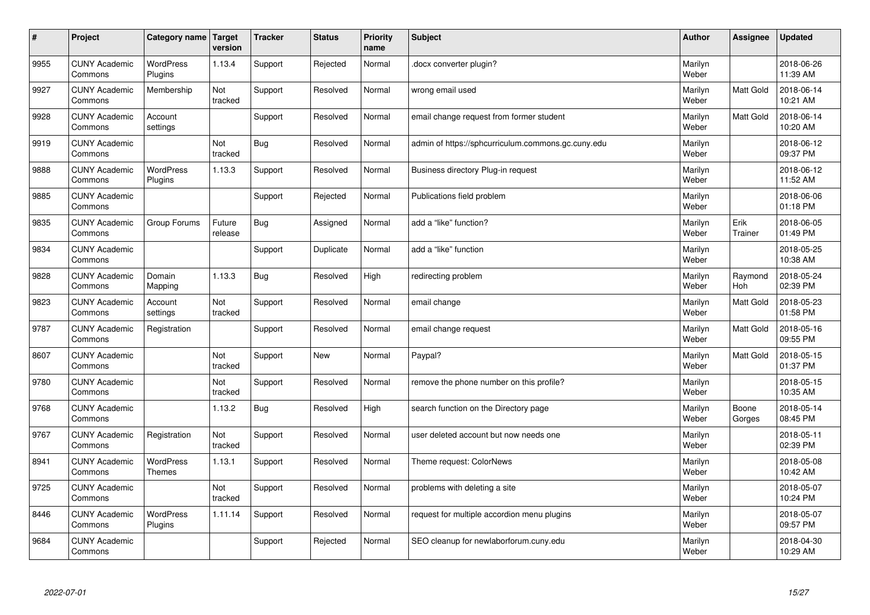| #    | Project                         | Category name   Target      | version           | <b>Tracker</b> | <b>Status</b> | <b>Priority</b><br>name | <b>Subject</b>                                     | <b>Author</b>    | Assignee         | <b>Updated</b>         |
|------|---------------------------------|-----------------------------|-------------------|----------------|---------------|-------------------------|----------------------------------------------------|------------------|------------------|------------------------|
| 9955 | <b>CUNY Academic</b><br>Commons | <b>WordPress</b><br>Plugins | 1.13.4            | Support        | Rejected      | Normal                  | docx converter plugin?                             | Marilyn<br>Weber |                  | 2018-06-26<br>11:39 AM |
| 9927 | <b>CUNY Academic</b><br>Commons | Membership                  | Not<br>tracked    | Support        | Resolved      | Normal                  | wrong email used                                   | Marilyn<br>Weber | Matt Gold        | 2018-06-14<br>10:21 AM |
| 9928 | <b>CUNY Academic</b><br>Commons | Account<br>settings         |                   | Support        | Resolved      | Normal                  | email change request from former student           | Marilyn<br>Weber | <b>Matt Gold</b> | 2018-06-14<br>10:20 AM |
| 9919 | <b>CUNY Academic</b><br>Commons |                             | Not<br>tracked    | Bug            | Resolved      | Normal                  | admin of https://sphcurriculum.commons.gc.cuny.edu | Marilyn<br>Weber |                  | 2018-06-12<br>09:37 PM |
| 9888 | <b>CUNY Academic</b><br>Commons | <b>WordPress</b><br>Plugins | 1.13.3            | Support        | Resolved      | Normal                  | Business directory Plug-in request                 | Marilyn<br>Weber |                  | 2018-06-12<br>11:52 AM |
| 9885 | <b>CUNY Academic</b><br>Commons |                             |                   | Support        | Rejected      | Normal                  | Publications field problem                         | Marilyn<br>Weber |                  | 2018-06-06<br>01:18 PM |
| 9835 | <b>CUNY Academic</b><br>Commons | Group Forums                | Future<br>release | <b>Bug</b>     | Assigned      | Normal                  | add a "like" function?                             | Marilyn<br>Weber | Erik<br>Trainer  | 2018-06-05<br>01:49 PM |
| 9834 | <b>CUNY Academic</b><br>Commons |                             |                   | Support        | Duplicate     | Normal                  | add a "like" function                              | Marilyn<br>Weber |                  | 2018-05-25<br>10:38 AM |
| 9828 | <b>CUNY Academic</b><br>Commons | Domain<br>Mapping           | 1.13.3            | <b>Bug</b>     | Resolved      | High                    | redirecting problem                                | Marilyn<br>Weber | Raymond<br>Hoh   | 2018-05-24<br>02:39 PM |
| 9823 | <b>CUNY Academic</b><br>Commons | Account<br>settings         | Not<br>tracked    | Support        | Resolved      | Normal                  | email change                                       | Marilyn<br>Weber | Matt Gold        | 2018-05-23<br>01:58 PM |
| 9787 | <b>CUNY Academic</b><br>Commons | Registration                |                   | Support        | Resolved      | Normal                  | email change request                               | Marilyn<br>Weber | Matt Gold        | 2018-05-16<br>09:55 PM |
| 8607 | <b>CUNY Academic</b><br>Commons |                             | Not<br>tracked    | Support        | New           | Normal                  | Paypal?                                            | Marilyn<br>Weber | Matt Gold        | 2018-05-15<br>01:37 PM |
| 9780 | <b>CUNY Academic</b><br>Commons |                             | Not<br>tracked    | Support        | Resolved      | Normal                  | remove the phone number on this profile?           | Marilyn<br>Weber |                  | 2018-05-15<br>10:35 AM |
| 9768 | <b>CUNY Academic</b><br>Commons |                             | 1.13.2            | <b>Bug</b>     | Resolved      | High                    | search function on the Directory page              | Marilyn<br>Weber | Boone<br>Gorges  | 2018-05-14<br>08:45 PM |
| 9767 | <b>CUNY Academic</b><br>Commons | Registration                | Not<br>tracked    | Support        | Resolved      | Normal                  | user deleted account but now needs one             | Marilyn<br>Weber |                  | 2018-05-11<br>02:39 PM |
| 8941 | <b>CUNY Academic</b><br>Commons | WordPress<br><b>Themes</b>  | 1.13.1            | Support        | Resolved      | Normal                  | Theme request: ColorNews                           | Marilyn<br>Weber |                  | 2018-05-08<br>10:42 AM |
| 9725 | <b>CUNY Academic</b><br>Commons |                             | Not<br>tracked    | Support        | Resolved      | Normal                  | problems with deleting a site                      | Marilyn<br>Weber |                  | 2018-05-07<br>10:24 PM |
| 8446 | <b>CUNY Academic</b><br>Commons | WordPress<br>Plugins        | 1.11.14           | Support        | Resolved      | Normal                  | request for multiple accordion menu plugins        | Marilyn<br>Weber |                  | 2018-05-07<br>09:57 PM |
| 9684 | <b>CUNY Academic</b><br>Commons |                             |                   | Support        | Rejected      | Normal                  | SEO cleanup for newlaborforum.cuny.edu             | Marilyn<br>Weber |                  | 2018-04-30<br>10:29 AM |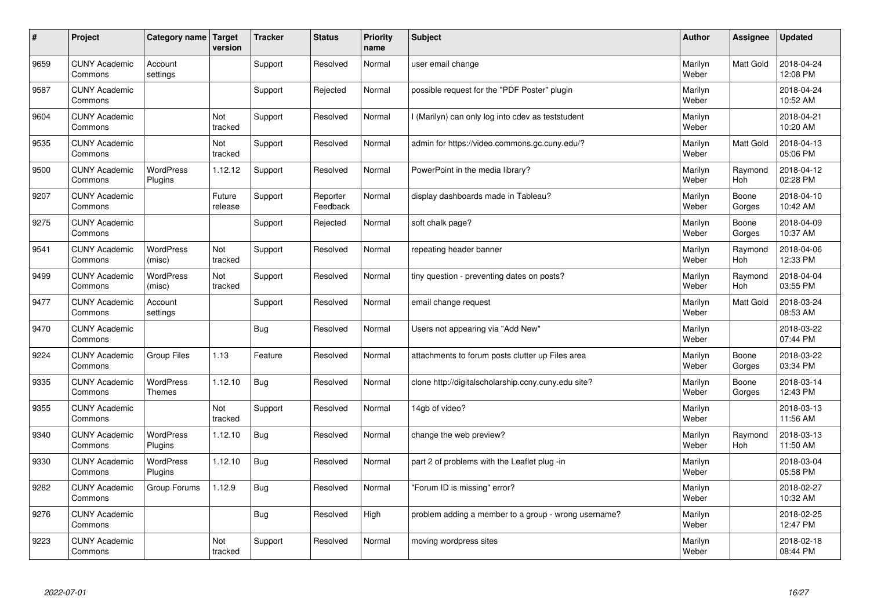| #    | Project                         | Category name   Target            | version           | <b>Tracker</b> | <b>Status</b>        | <b>Priority</b><br>name | <b>Subject</b>                                       | <b>Author</b>    | Assignee              | Updated                |
|------|---------------------------------|-----------------------------------|-------------------|----------------|----------------------|-------------------------|------------------------------------------------------|------------------|-----------------------|------------------------|
| 9659 | <b>CUNY Academic</b><br>Commons | Account<br>settings               |                   | Support        | Resolved             | Normal                  | user email change                                    | Marilyn<br>Weber | <b>Matt Gold</b>      | 2018-04-24<br>12:08 PM |
| 9587 | <b>CUNY Academic</b><br>Commons |                                   |                   | Support        | Rejected             | Normal                  | possible request for the "PDF Poster" plugin         | Marilyn<br>Weber |                       | 2018-04-24<br>10:52 AM |
| 9604 | <b>CUNY Academic</b><br>Commons |                                   | Not<br>tracked    | Support        | Resolved             | Normal                  | I (Marilyn) can only log into cdev as teststudent    | Marilyn<br>Weber |                       | 2018-04-21<br>10:20 AM |
| 9535 | <b>CUNY Academic</b><br>Commons |                                   | Not<br>tracked    | Support        | Resolved             | Normal                  | admin for https://video.commons.gc.cuny.edu/?        | Marilyn<br>Weber | Matt Gold             | 2018-04-13<br>05:06 PM |
| 9500 | <b>CUNY Academic</b><br>Commons | <b>WordPress</b><br>Plugins       | 1.12.12           | Support        | Resolved             | Normal                  | PowerPoint in the media library?                     | Marilyn<br>Weber | Raymond<br>Hoh        | 2018-04-12<br>02:28 PM |
| 9207 | <b>CUNY Academic</b><br>Commons |                                   | Future<br>release | Support        | Reporter<br>Feedback | Normal                  | display dashboards made in Tableau?                  | Marilyn<br>Weber | Boone<br>Gorges       | 2018-04-10<br>10:42 AM |
| 9275 | <b>CUNY Academic</b><br>Commons |                                   |                   | Support        | Rejected             | Normal                  | soft chalk page?                                     | Marilyn<br>Weber | Boone<br>Gorges       | 2018-04-09<br>10:37 AM |
| 9541 | <b>CUNY Academic</b><br>Commons | <b>WordPress</b><br>(misc)        | Not<br>tracked    | Support        | Resolved             | Normal                  | repeating header banner                              | Marilyn<br>Weber | Raymond<br>Hoh        | 2018-04-06<br>12:33 PM |
| 9499 | <b>CUNY Academic</b><br>Commons | <b>WordPress</b><br>(misc)        | Not<br>tracked    | Support        | Resolved             | Normal                  | tiny question - preventing dates on posts?           | Marilyn<br>Weber | Raymond<br><b>Hoh</b> | 2018-04-04<br>03:55 PM |
| 9477 | <b>CUNY Academic</b><br>Commons | Account<br>settings               |                   | Support        | Resolved             | Normal                  | email change request                                 | Marilyn<br>Weber | <b>Matt Gold</b>      | 2018-03-24<br>08:53 AM |
| 9470 | <b>CUNY Academic</b><br>Commons |                                   |                   | <b>Bug</b>     | Resolved             | Normal                  | Users not appearing via "Add New"                    | Marilyn<br>Weber |                       | 2018-03-22<br>07:44 PM |
| 9224 | <b>CUNY Academic</b><br>Commons | <b>Group Files</b>                | 1.13              | Feature        | Resolved             | Normal                  | attachments to forum posts clutter up Files area     | Marilyn<br>Weber | Boone<br>Gorges       | 2018-03-22<br>03:34 PM |
| 9335 | <b>CUNY Academic</b><br>Commons | <b>WordPress</b><br><b>Themes</b> | 1.12.10           | Bug            | Resolved             | Normal                  | clone http://digitalscholarship.ccny.cuny.edu site?  | Marilyn<br>Weber | Boone<br>Gorges       | 2018-03-14<br>12:43 PM |
| 9355 | <b>CUNY Academic</b><br>Commons |                                   | Not<br>tracked    | Support        | Resolved             | Normal                  | 14gb of video?                                       | Marilyn<br>Weber |                       | 2018-03-13<br>11:56 AM |
| 9340 | <b>CUNY Academic</b><br>Commons | <b>WordPress</b><br>Plugins       | 1.12.10           | Bug            | Resolved             | Normal                  | change the web preview?                              | Marilyn<br>Weber | Raymond<br><b>Hoh</b> | 2018-03-13<br>11:50 AM |
| 9330 | <b>CUNY Academic</b><br>Commons | <b>WordPress</b><br>Plugins       | 1.12.10           | Bug            | Resolved             | Normal                  | part 2 of problems with the Leaflet plug -in         | Marilyn<br>Weber |                       | 2018-03-04<br>05:58 PM |
| 9282 | <b>CUNY Academic</b><br>Commons | Group Forums                      | 1.12.9            | Bug            | Resolved             | Normal                  | 'Forum ID is missing" error?                         | Marilyn<br>Weber |                       | 2018-02-27<br>10:32 AM |
| 9276 | <b>CUNY Academic</b><br>Commons |                                   |                   | Bug            | Resolved             | High                    | problem adding a member to a group - wrong username? | Marilyn<br>Weber |                       | 2018-02-25<br>12:47 PM |
| 9223 | <b>CUNY Academic</b><br>Commons |                                   | Not<br>tracked    | Support        | Resolved             | Normal                  | moving wordpress sites                               | Marilyn<br>Weber |                       | 2018-02-18<br>08:44 PM |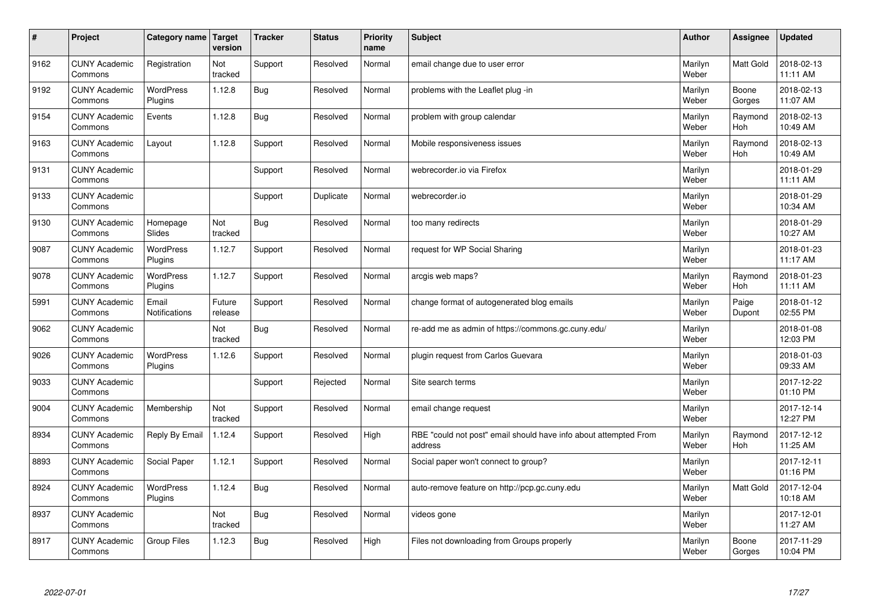| $\sharp$ | Project                         | Category name Target        | version           | <b>Tracker</b> | <b>Status</b> | <b>Priority</b><br>name | <b>Subject</b>                                                              | <b>Author</b>    | Assignee              | <b>Updated</b>         |
|----------|---------------------------------|-----------------------------|-------------------|----------------|---------------|-------------------------|-----------------------------------------------------------------------------|------------------|-----------------------|------------------------|
| 9162     | <b>CUNY Academic</b><br>Commons | Registration                | Not<br>tracked    | Support        | Resolved      | Normal                  | email change due to user error                                              | Marilyn<br>Weber | <b>Matt Gold</b>      | 2018-02-13<br>11:11 AM |
| 9192     | <b>CUNY Academic</b><br>Commons | <b>WordPress</b><br>Plugins | 1.12.8            | <b>Bug</b>     | Resolved      | Normal                  | problems with the Leaflet plug -in                                          | Marilyn<br>Weber | Boone<br>Gorges       | 2018-02-13<br>11:07 AM |
| 9154     | <b>CUNY Academic</b><br>Commons | Events                      | 1.12.8            | Bug            | Resolved      | Normal                  | problem with group calendar                                                 | Marilyn<br>Weber | Raymond<br><b>Hoh</b> | 2018-02-13<br>10:49 AM |
| 9163     | <b>CUNY Academic</b><br>Commons | Layout                      | 1.12.8            | Support        | Resolved      | Normal                  | Mobile responsiveness issues                                                | Marilyn<br>Weber | Raymond<br><b>Hoh</b> | 2018-02-13<br>10:49 AM |
| 9131     | <b>CUNY Academic</b><br>Commons |                             |                   | Support        | Resolved      | Normal                  | webrecorder.io via Firefox                                                  | Marilyn<br>Weber |                       | 2018-01-29<br>11:11 AM |
| 9133     | <b>CUNY Academic</b><br>Commons |                             |                   | Support        | Duplicate     | Normal                  | webrecorder.io                                                              | Marilyn<br>Weber |                       | 2018-01-29<br>10:34 AM |
| 9130     | <b>CUNY Academic</b><br>Commons | Homepage<br>Slides          | Not<br>tracked    | Bug            | Resolved      | Normal                  | too many redirects                                                          | Marilyn<br>Weber |                       | 2018-01-29<br>10:27 AM |
| 9087     | <b>CUNY Academic</b><br>Commons | WordPress<br>Plugins        | 1.12.7            | Support        | Resolved      | Normal                  | request for WP Social Sharing                                               | Marilyn<br>Weber |                       | 2018-01-23<br>11:17 AM |
| 9078     | <b>CUNY Academic</b><br>Commons | WordPress<br>Plugins        | 1.12.7            | Support        | Resolved      | Normal                  | arcgis web maps?                                                            | Marilyn<br>Weber | Raymond<br><b>Hoh</b> | 2018-01-23<br>11:11 AM |
| 5991     | <b>CUNY Academic</b><br>Commons | Email<br>Notifications      | Future<br>release | Support        | Resolved      | Normal                  | change format of autogenerated blog emails                                  | Marilyn<br>Weber | Paige<br>Dupont       | 2018-01-12<br>02:55 PM |
| 9062     | <b>CUNY Academic</b><br>Commons |                             | Not<br>tracked    | Bug            | Resolved      | Normal                  | re-add me as admin of https://commons.gc.cuny.edu/                          | Marilyn<br>Weber |                       | 2018-01-08<br>12:03 PM |
| 9026     | <b>CUNY Academic</b><br>Commons | <b>WordPress</b><br>Plugins | 1.12.6            | Support        | Resolved      | Normal                  | plugin request from Carlos Guevara                                          | Marilyn<br>Weber |                       | 2018-01-03<br>09:33 AM |
| 9033     | <b>CUNY Academic</b><br>Commons |                             |                   | Support        | Rejected      | Normal                  | Site search terms                                                           | Marilyn<br>Weber |                       | 2017-12-22<br>01:10 PM |
| 9004     | <b>CUNY Academic</b><br>Commons | Membership                  | Not<br>tracked    | Support        | Resolved      | Normal                  | email change request                                                        | Marilyn<br>Weber |                       | 2017-12-14<br>12:27 PM |
| 8934     | <b>CUNY Academic</b><br>Commons | Reply By Email              | 1.12.4            | Support        | Resolved      | High                    | RBE "could not post" email should have info about attempted From<br>address | Marilyn<br>Weber | Raymond<br><b>Hoh</b> | 2017-12-12<br>11:25 AM |
| 8893     | <b>CUNY Academic</b><br>Commons | Social Paper                | 1.12.1            | Support        | Resolved      | Normal                  | Social paper won't connect to group?                                        | Marilyn<br>Weber |                       | 2017-12-11<br>01:16 PM |
| 8924     | <b>CUNY Academic</b><br>Commons | <b>WordPress</b><br>Plugins | 1.12.4            | Bug            | Resolved      | Normal                  | auto-remove feature on http://pcp.gc.cuny.edu                               | Marilyn<br>Weber | Matt Gold             | 2017-12-04<br>10:18 AM |
| 8937     | <b>CUNY Academic</b><br>Commons |                             | Not<br>tracked    | Bug            | Resolved      | Normal                  | videos gone                                                                 | Marilyn<br>Weber |                       | 2017-12-01<br>11:27 AM |
| 8917     | <b>CUNY Academic</b><br>Commons | Group Files                 | 1.12.3            | Bug            | Resolved      | High                    | Files not downloading from Groups properly                                  | Marilyn<br>Weber | Boone<br>Gorges       | 2017-11-29<br>10:04 PM |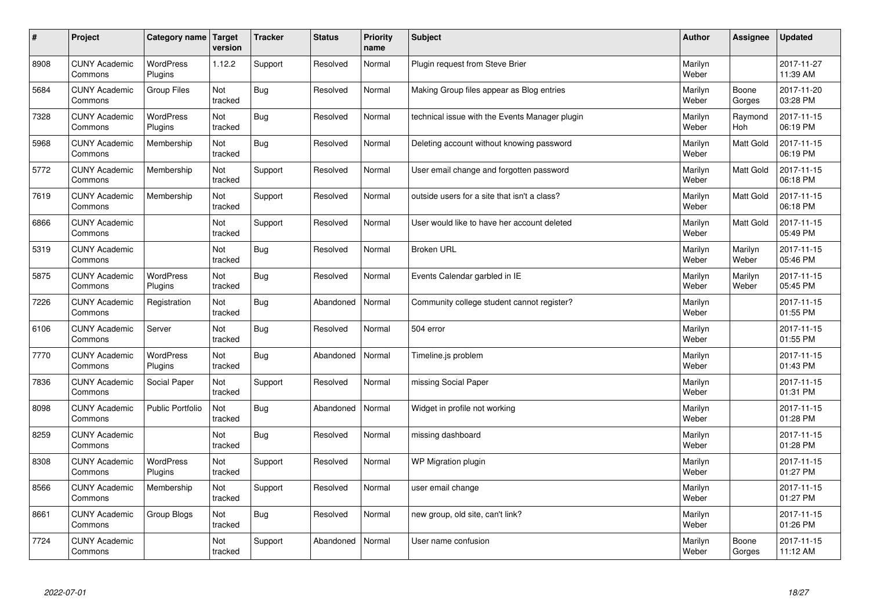| #    | Project                         | Category name               | Target<br>version | <b>Tracker</b> | <b>Status</b> | <b>Priority</b><br>name | <b>Subject</b>                                 | <b>Author</b>    | Assignee         | <b>Updated</b>         |
|------|---------------------------------|-----------------------------|-------------------|----------------|---------------|-------------------------|------------------------------------------------|------------------|------------------|------------------------|
| 8908 | <b>CUNY Academic</b><br>Commons | <b>WordPress</b><br>Plugins | 1.12.2            | Support        | Resolved      | Normal                  | Plugin request from Steve Brier                | Marilyn<br>Weber |                  | 2017-11-27<br>11:39 AM |
| 5684 | <b>CUNY Academic</b><br>Commons | <b>Group Files</b>          | Not<br>tracked    | <b>Bug</b>     | Resolved      | Normal                  | Making Group files appear as Blog entries      | Marilyn<br>Weber | Boone<br>Gorges  | 2017-11-20<br>03:28 PM |
| 7328 | <b>CUNY Academic</b><br>Commons | <b>WordPress</b><br>Plugins | Not<br>tracked    | <b>Bug</b>     | Resolved      | Normal                  | technical issue with the Events Manager plugin | Marilyn<br>Weber | Raymond<br>Hoh   | 2017-11-15<br>06:19 PM |
| 5968 | <b>CUNY Academic</b><br>Commons | Membership                  | Not<br>tracked    | <b>Bug</b>     | Resolved      | Normal                  | Deleting account without knowing password      | Marilyn<br>Weber | Matt Gold        | 2017-11-15<br>06:19 PM |
| 5772 | <b>CUNY Academic</b><br>Commons | Membership                  | Not<br>tracked    | Support        | Resolved      | Normal                  | User email change and forgotten password       | Marilyn<br>Weber | <b>Matt Gold</b> | 2017-11-15<br>06:18 PM |
| 7619 | <b>CUNY Academic</b><br>Commons | Membership                  | Not<br>tracked    | Support        | Resolved      | Normal                  | outside users for a site that isn't a class?   | Marilyn<br>Weber | Matt Gold        | 2017-11-15<br>06:18 PM |
| 6866 | <b>CUNY Academic</b><br>Commons |                             | Not<br>tracked    | Support        | Resolved      | Normal                  | User would like to have her account deleted    | Marilyn<br>Weber | <b>Matt Gold</b> | 2017-11-15<br>05:49 PM |
| 5319 | <b>CUNY Academic</b><br>Commons |                             | Not<br>tracked    | <b>Bug</b>     | Resolved      | Normal                  | <b>Broken URL</b>                              | Marilyn<br>Weber | Marilyn<br>Weber | 2017-11-15<br>05:46 PM |
| 5875 | <b>CUNY Academic</b><br>Commons | WordPress<br>Plugins        | Not<br>tracked    | <b>Bug</b>     | Resolved      | Normal                  | Events Calendar garbled in IE                  | Marilyn<br>Weber | Marilyn<br>Weber | 2017-11-15<br>05:45 PM |
| 7226 | <b>CUNY Academic</b><br>Commons | Registration                | Not<br>tracked    | <b>Bug</b>     | Abandoned     | Normal                  | Community college student cannot register?     | Marilyn<br>Weber |                  | 2017-11-15<br>01:55 PM |
| 6106 | <b>CUNY Academic</b><br>Commons | Server                      | Not<br>tracked    | <b>Bug</b>     | Resolved      | Normal                  | 504 error                                      | Marilyn<br>Weber |                  | 2017-11-15<br>01:55 PM |
| 7770 | <b>CUNY Academic</b><br>Commons | WordPress<br>Plugins        | Not<br>tracked    | <b>Bug</b>     | Abandoned     | Normal                  | Timeline.js problem                            | Marilyn<br>Weber |                  | 2017-11-15<br>01:43 PM |
| 7836 | <b>CUNY Academic</b><br>Commons | Social Paper                | Not<br>tracked    | Support        | Resolved      | Normal                  | missing Social Paper                           | Marilyn<br>Weber |                  | 2017-11-15<br>01:31 PM |
| 8098 | <b>CUNY Academic</b><br>Commons | Public Portfolio            | Not<br>tracked    | <b>Bug</b>     | Abandoned     | Normal                  | Widget in profile not working                  | Marilyn<br>Weber |                  | 2017-11-15<br>01:28 PM |
| 8259 | <b>CUNY Academic</b><br>Commons |                             | Not<br>tracked    | <b>Bug</b>     | Resolved      | Normal                  | missing dashboard                              | Marilyn<br>Weber |                  | 2017-11-15<br>01:28 PM |
| 8308 | <b>CUNY Academic</b><br>Commons | WordPress<br>Plugins        | Not<br>tracked    | Support        | Resolved      | Normal                  | WP Migration plugin                            | Marilyn<br>Weber |                  | 2017-11-15<br>01:27 PM |
| 8566 | <b>CUNY Academic</b><br>Commons | Membership                  | Not<br>tracked    | Support        | Resolved      | Normal                  | user email change                              | Marilyn<br>Weber |                  | 2017-11-15<br>01:27 PM |
| 8661 | <b>CUNY Academic</b><br>Commons | Group Blogs                 | Not<br>tracked    | <b>Bug</b>     | Resolved      | Normal                  | new group, old site, can't link?               | Marilyn<br>Weber |                  | 2017-11-15<br>01:26 PM |
| 7724 | <b>CUNY Academic</b><br>Commons |                             | Not<br>tracked    | Support        | Abandoned     | Normal                  | User name confusion                            | Marilyn<br>Weber | Boone<br>Gorges  | 2017-11-15<br>11:12 AM |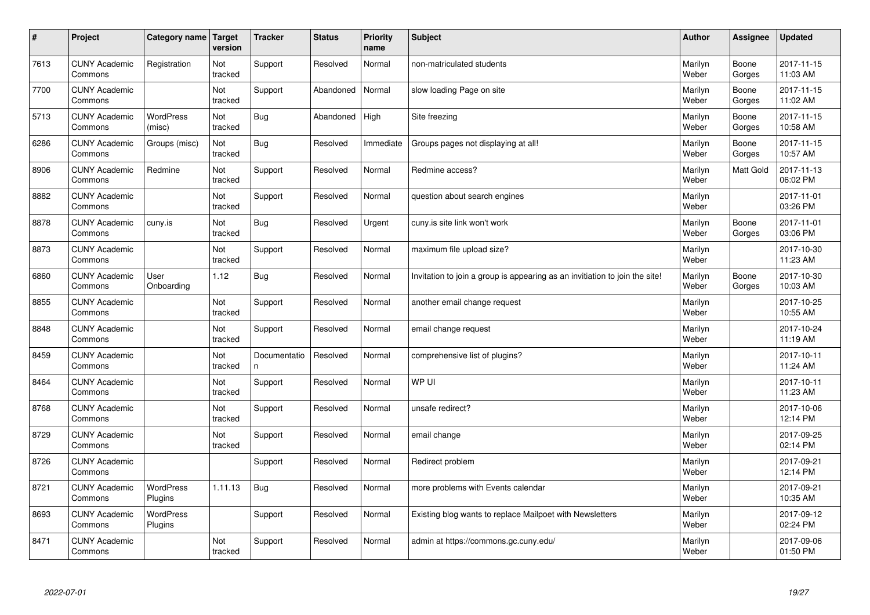| $\sharp$ | Project                         | Category name   Target     | version        | <b>Tracker</b>     | <b>Status</b> | <b>Priority</b><br>name | <b>Subject</b>                                                              | <b>Author</b>    | Assignee         | <b>Updated</b>         |
|----------|---------------------------------|----------------------------|----------------|--------------------|---------------|-------------------------|-----------------------------------------------------------------------------|------------------|------------------|------------------------|
| 7613     | <b>CUNY Academic</b><br>Commons | Registration               | Not<br>tracked | Support            | Resolved      | Normal                  | non-matriculated students                                                   | Marilyn<br>Weber | Boone<br>Gorges  | 2017-11-15<br>11:03 AM |
| 7700     | <b>CUNY Academic</b><br>Commons |                            | Not<br>tracked | Support            | Abandoned     | Normal                  | slow loading Page on site                                                   | Marilyn<br>Weber | Boone<br>Gorges  | 2017-11-15<br>11:02 AM |
| 5713     | <b>CUNY Academic</b><br>Commons | <b>WordPress</b><br>(misc) | Not<br>tracked | Bug                | Abandoned     | High                    | Site freezing                                                               | Marilyn<br>Weber | Boone<br>Gorges  | 2017-11-15<br>10:58 AM |
| 6286     | <b>CUNY Academic</b><br>Commons | Groups (misc)              | Not<br>tracked | Bug                | Resolved      | Immediate               | Groups pages not displaying at all!                                         | Marilyn<br>Weber | Boone<br>Gorges  | 2017-11-15<br>10:57 AM |
| 8906     | <b>CUNY Academic</b><br>Commons | Redmine                    | Not<br>tracked | Support            | Resolved      | Normal                  | Redmine access?                                                             | Marilyn<br>Weber | <b>Matt Gold</b> | 2017-11-13<br>06:02 PM |
| 8882     | <b>CUNY Academic</b><br>Commons |                            | Not<br>tracked | Support            | Resolved      | Normal                  | question about search engines                                               | Marilyn<br>Weber |                  | 2017-11-01<br>03:26 PM |
| 8878     | <b>CUNY Academic</b><br>Commons | cuny.is                    | Not<br>tracked | Bug                | Resolved      | Urgent                  | cuny.is site link won't work                                                | Marilyn<br>Weber | Boone<br>Gorges  | 2017-11-01<br>03:06 PM |
| 8873     | <b>CUNY Academic</b><br>Commons |                            | Not<br>tracked | Support            | Resolved      | Normal                  | maximum file upload size?                                                   | Marilyn<br>Weber |                  | 2017-10-30<br>11:23 AM |
| 6860     | <b>CUNY Academic</b><br>Commons | User<br>Onboarding         | 1.12           | Bug                | Resolved      | Normal                  | Invitation to join a group is appearing as an invitiation to join the site! | Marilyn<br>Weber | Boone<br>Gorges  | 2017-10-30<br>10:03 AM |
| 8855     | <b>CUNY Academic</b><br>Commons |                            | Not<br>tracked | Support            | Resolved      | Normal                  | another email change request                                                | Marilyn<br>Weber |                  | 2017-10-25<br>10:55 AM |
| 8848     | <b>CUNY Academic</b><br>Commons |                            | Not<br>tracked | Support            | Resolved      | Normal                  | email change request                                                        | Marilyn<br>Weber |                  | 2017-10-24<br>11:19 AM |
| 8459     | <b>CUNY Academic</b><br>Commons |                            | Not<br>tracked | Documentatio<br>n. | Resolved      | Normal                  | comprehensive list of plugins?                                              | Marilyn<br>Weber |                  | 2017-10-11<br>11:24 AM |
| 8464     | <b>CUNY Academic</b><br>Commons |                            | Not<br>tracked | Support            | Resolved      | Normal                  | WP UI                                                                       | Marilyn<br>Weber |                  | 2017-10-11<br>11:23 AM |
| 8768     | <b>CUNY Academic</b><br>Commons |                            | Not<br>tracked | Support            | Resolved      | Normal                  | unsafe redirect?                                                            | Marilyn<br>Weber |                  | 2017-10-06<br>12:14 PM |
| 8729     | <b>CUNY Academic</b><br>Commons |                            | Not<br>tracked | Support            | Resolved      | Normal                  | email change                                                                | Marilyn<br>Weber |                  | 2017-09-25<br>02:14 PM |
| 8726     | <b>CUNY Academic</b><br>Commons |                            |                | Support            | Resolved      | Normal                  | Redirect problem                                                            | Marilyn<br>Weber |                  | 2017-09-21<br>12:14 PM |
| 8721     | <b>CUNY Academic</b><br>Commons | WordPress<br>Plugins       | 1.11.13        | Bug                | Resolved      | Normal                  | more problems with Events calendar                                          | Marilyn<br>Weber |                  | 2017-09-21<br>10:35 AM |
| 8693     | <b>CUNY Academic</b><br>Commons | WordPress<br>Plugins       |                | Support            | Resolved      | Normal                  | Existing blog wants to replace Mailpoet with Newsletters                    | Marilyn<br>Weber |                  | 2017-09-12<br>02:24 PM |
| 8471     | <b>CUNY Academic</b><br>Commons |                            | Not<br>tracked | Support            | Resolved      | Normal                  | admin at https://commons.gc.cuny.edu/                                       | Marilyn<br>Weber |                  | 2017-09-06<br>01:50 PM |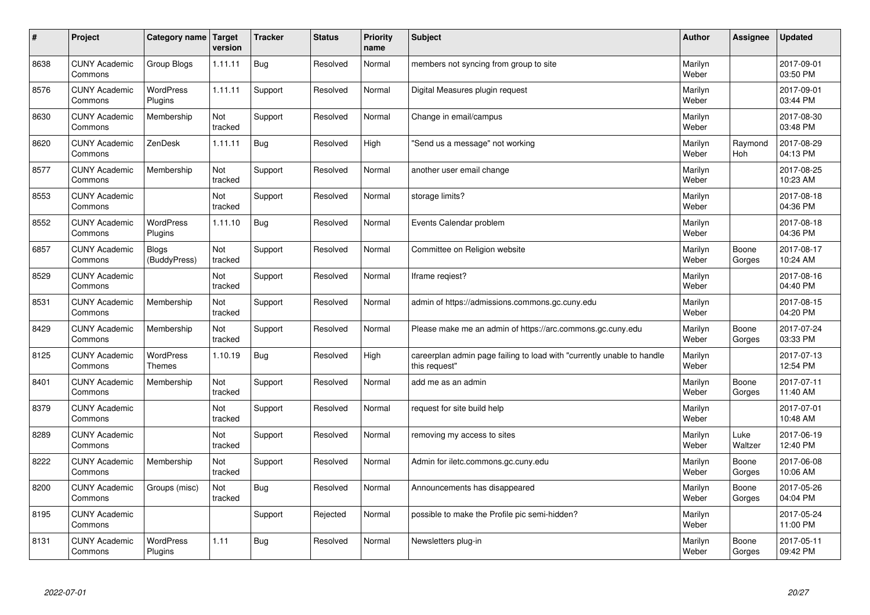| $\vert$ # | Project                         | Category name                     | Target<br>version | <b>Tracker</b> | <b>Status</b> | <b>Priority</b><br>name | <b>Subject</b>                                                                          | <b>Author</b>    | Assignee        | <b>Updated</b>         |
|-----------|---------------------------------|-----------------------------------|-------------------|----------------|---------------|-------------------------|-----------------------------------------------------------------------------------------|------------------|-----------------|------------------------|
| 8638      | <b>CUNY Academic</b><br>Commons | Group Blogs                       | 1.11.11           | <b>Bug</b>     | Resolved      | Normal                  | members not syncing from group to site                                                  | Marilyn<br>Weber |                 | 2017-09-01<br>03:50 PM |
| 8576      | <b>CUNY Academic</b><br>Commons | <b>WordPress</b><br>Plugins       | 1.11.11           | Support        | Resolved      | Normal                  | Digital Measures plugin request                                                         | Marilyn<br>Weber |                 | 2017-09-01<br>03:44 PM |
| 8630      | <b>CUNY Academic</b><br>Commons | Membership                        | Not<br>tracked    | Support        | Resolved      | Normal                  | Change in email/campus                                                                  | Marilyn<br>Weber |                 | 2017-08-30<br>03:48 PM |
| 8620      | <b>CUNY Academic</b><br>Commons | ZenDesk                           | 1.11.11           | Bug            | Resolved      | High                    | 'Send us a message" not working                                                         | Marilyn<br>Weber | Raymond<br>Hoh  | 2017-08-29<br>04:13 PM |
| 8577      | <b>CUNY Academic</b><br>Commons | Membership                        | Not<br>tracked    | Support        | Resolved      | Normal                  | another user email change                                                               | Marilyn<br>Weber |                 | 2017-08-25<br>10:23 AM |
| 8553      | <b>CUNY Academic</b><br>Commons |                                   | Not<br>tracked    | Support        | Resolved      | Normal                  | storage limits?                                                                         | Marilyn<br>Weber |                 | 2017-08-18<br>04:36 PM |
| 8552      | <b>CUNY Academic</b><br>Commons | <b>WordPress</b><br>Plugins       | 1.11.10           | <b>Bug</b>     | Resolved      | Normal                  | Events Calendar problem                                                                 | Marilyn<br>Weber |                 | 2017-08-18<br>04:36 PM |
| 6857      | <b>CUNY Academic</b><br>Commons | <b>Blogs</b><br>(BuddyPress)      | Not<br>tracked    | Support        | Resolved      | Normal                  | Committee on Religion website                                                           | Marilyn<br>Weber | Boone<br>Gorges | 2017-08-17<br>10:24 AM |
| 8529      | <b>CUNY Academic</b><br>Commons |                                   | Not<br>tracked    | Support        | Resolved      | Normal                  | Iframe regiest?                                                                         | Marilyn<br>Weber |                 | 2017-08-16<br>04:40 PM |
| 8531      | <b>CUNY Academic</b><br>Commons | Membership                        | Not<br>tracked    | Support        | Resolved      | Normal                  | admin of https://admissions.commons.gc.cuny.edu                                         | Marilyn<br>Weber |                 | 2017-08-15<br>04:20 PM |
| 8429      | <b>CUNY Academic</b><br>Commons | Membership                        | Not<br>tracked    | Support        | Resolved      | Normal                  | Please make me an admin of https://arc.commons.gc.cuny.edu                              | Marilyn<br>Weber | Boone<br>Gorges | 2017-07-24<br>03:33 PM |
| 8125      | <b>CUNY Academic</b><br>Commons | <b>WordPress</b><br><b>Themes</b> | 1.10.19           | Bug            | Resolved      | High                    | careerplan admin page failing to load with "currently unable to handle<br>this request" | Marilyn<br>Weber |                 | 2017-07-13<br>12:54 PM |
| 8401      | <b>CUNY Academic</b><br>Commons | Membership                        | Not<br>tracked    | Support        | Resolved      | Normal                  | add me as an admin                                                                      | Marilyn<br>Weber | Boone<br>Gorges | 2017-07-11<br>11:40 AM |
| 8379      | <b>CUNY Academic</b><br>Commons |                                   | Not<br>tracked    | Support        | Resolved      | Normal                  | request for site build help                                                             | Marilyn<br>Weber |                 | 2017-07-01<br>10:48 AM |
| 8289      | <b>CUNY Academic</b><br>Commons |                                   | Not<br>tracked    | Support        | Resolved      | Normal                  | removing my access to sites                                                             | Marilyn<br>Weber | Luke<br>Waltzer | 2017-06-19<br>12:40 PM |
| 8222      | <b>CUNY Academic</b><br>Commons | Membership                        | Not<br>tracked    | Support        | Resolved      | Normal                  | Admin for iletc.commons.gc.cuny.edu                                                     | Marilyn<br>Weber | Boone<br>Gorges | 2017-06-08<br>10:06 AM |
| 8200      | <b>CUNY Academic</b><br>Commons | Groups (misc)                     | Not<br>tracked    | <b>Bug</b>     | Resolved      | Normal                  | Announcements has disappeared                                                           | Marilyn<br>Weber | Boone<br>Gorges | 2017-05-26<br>04:04 PM |
| 8195      | <b>CUNY Academic</b><br>Commons |                                   |                   | Support        | Rejected      | Normal                  | possible to make the Profile pic semi-hidden?                                           | Marilyn<br>Weber |                 | 2017-05-24<br>11:00 PM |
| 8131      | <b>CUNY Academic</b><br>Commons | <b>WordPress</b><br>Plugins       | 1.11              | Bug            | Resolved      | Normal                  | Newsletters plug-in                                                                     | Marilyn<br>Weber | Boone<br>Gorges | 2017-05-11<br>09:42 PM |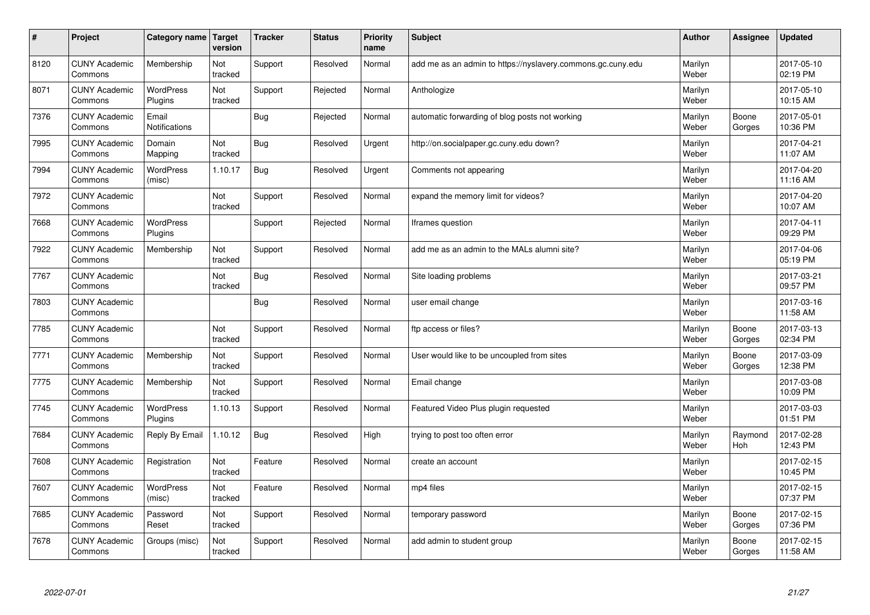| $\sharp$ | Project                         | Category name   Target      | version        | <b>Tracker</b> | <b>Status</b> | <b>Priority</b><br>name | <b>Subject</b>                                              | <b>Author</b>    | Assignee        | <b>Updated</b>         |
|----------|---------------------------------|-----------------------------|----------------|----------------|---------------|-------------------------|-------------------------------------------------------------|------------------|-----------------|------------------------|
| 8120     | <b>CUNY Academic</b><br>Commons | Membership                  | Not<br>tracked | Support        | Resolved      | Normal                  | add me as an admin to https://nyslavery.commons.gc.cuny.edu | Marilyn<br>Weber |                 | 2017-05-10<br>02:19 PM |
| 8071     | <b>CUNY Academic</b><br>Commons | <b>WordPress</b><br>Plugins | Not<br>tracked | Support        | Rejected      | Normal                  | Anthologize                                                 | Marilyn<br>Weber |                 | 2017-05-10<br>10:15 AM |
| 7376     | <b>CUNY Academic</b><br>Commons | Email<br>Notifications      |                | Bug            | Rejected      | Normal                  | automatic forwarding of blog posts not working              | Marilyn<br>Weber | Boone<br>Gorges | 2017-05-01<br>10:36 PM |
| 7995     | <b>CUNY Academic</b><br>Commons | Domain<br>Mapping           | Not<br>tracked | Bug            | Resolved      | Urgent                  | http://on.socialpaper.gc.cuny.edu down?                     | Marilyn<br>Weber |                 | 2017-04-21<br>11:07 AM |
| 7994     | <b>CUNY Academic</b><br>Commons | <b>WordPress</b><br>(misc)  | 1.10.17        | Bug            | Resolved      | Urgent                  | Comments not appearing                                      | Marilyn<br>Weber |                 | 2017-04-20<br>11:16 AM |
| 7972     | <b>CUNY Academic</b><br>Commons |                             | Not<br>tracked | Support        | Resolved      | Normal                  | expand the memory limit for videos?                         | Marilyn<br>Weber |                 | 2017-04-20<br>10:07 AM |
| 7668     | <b>CUNY Academic</b><br>Commons | <b>WordPress</b><br>Plugins |                | Support        | Rejected      | Normal                  | Iframes question                                            | Marilyn<br>Weber |                 | 2017-04-11<br>09:29 PM |
| 7922     | <b>CUNY Academic</b><br>Commons | Membership                  | Not<br>tracked | Support        | Resolved      | Normal                  | add me as an admin to the MALs alumni site?                 | Marilyn<br>Weber |                 | 2017-04-06<br>05:19 PM |
| 7767     | <b>CUNY Academic</b><br>Commons |                             | Not<br>tracked | Bug            | Resolved      | Normal                  | Site loading problems                                       | Marilyn<br>Weber |                 | 2017-03-21<br>09:57 PM |
| 7803     | <b>CUNY Academic</b><br>Commons |                             |                | Bug            | Resolved      | Normal                  | user email change                                           | Marilyn<br>Weber |                 | 2017-03-16<br>11:58 AM |
| 7785     | <b>CUNY Academic</b><br>Commons |                             | Not<br>tracked | Support        | Resolved      | Normal                  | ftp access or files?                                        | Marilyn<br>Weber | Boone<br>Gorges | 2017-03-13<br>02:34 PM |
| 7771     | <b>CUNY Academic</b><br>Commons | Membership                  | Not<br>tracked | Support        | Resolved      | Normal                  | User would like to be uncoupled from sites                  | Marilyn<br>Weber | Boone<br>Gorges | 2017-03-09<br>12:38 PM |
| 7775     | <b>CUNY Academic</b><br>Commons | Membership                  | Not<br>tracked | Support        | Resolved      | Normal                  | Email change                                                | Marilyn<br>Weber |                 | 2017-03-08<br>10:09 PM |
| 7745     | <b>CUNY Academic</b><br>Commons | WordPress<br>Plugins        | 1.10.13        | Support        | Resolved      | Normal                  | Featured Video Plus plugin requested                        | Marilyn<br>Weber |                 | 2017-03-03<br>01:51 PM |
| 7684     | <b>CUNY Academic</b><br>Commons | Reply By Email              | 1.10.12        | Bug            | Resolved      | High                    | trying to post too often error                              | Marilyn<br>Weber | Raymond<br>Hoh  | 2017-02-28<br>12:43 PM |
| 7608     | <b>CUNY Academic</b><br>Commons | Registration                | Not<br>tracked | Feature        | Resolved      | Normal                  | create an account                                           | Marilyn<br>Weber |                 | 2017-02-15<br>10:45 PM |
| 7607     | <b>CUNY Academic</b><br>Commons | WordPress<br>(misc)         | Not<br>tracked | Feature        | Resolved      | Normal                  | mp4 files                                                   | Marilyn<br>Weber |                 | 2017-02-15<br>07:37 PM |
| 7685     | <b>CUNY Academic</b><br>Commons | Password<br>Reset           | Not<br>tracked | Support        | Resolved      | Normal                  | temporary password                                          | Marilyn<br>Weber | Boone<br>Gorges | 2017-02-15<br>07:36 PM |
| 7678     | <b>CUNY Academic</b><br>Commons | Groups (misc)               | Not<br>tracked | Support        | Resolved      | Normal                  | add admin to student group                                  | Marilyn<br>Weber | Boone<br>Gorges | 2017-02-15<br>11:58 AM |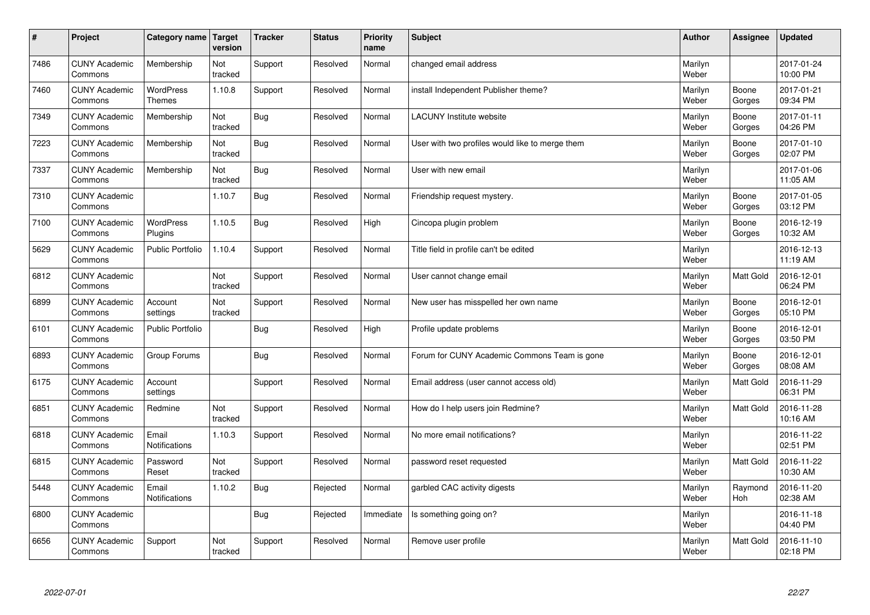| $\sharp$ | Project                         | Category name               | Target<br>version | <b>Tracker</b> | <b>Status</b> | <b>Priority</b><br>name | <b>Subject</b>                                  | <b>Author</b>    | <b>Assignee</b>  | <b>Updated</b>         |
|----------|---------------------------------|-----------------------------|-------------------|----------------|---------------|-------------------------|-------------------------------------------------|------------------|------------------|------------------------|
| 7486     | <b>CUNY Academic</b><br>Commons | Membership                  | Not<br>tracked    | Support        | Resolved      | Normal                  | changed email address                           | Marilyn<br>Weber |                  | 2017-01-24<br>10:00 PM |
| 7460     | <b>CUNY Academic</b><br>Commons | <b>WordPress</b><br>Themes  | 1.10.8            | Support        | Resolved      | Normal                  | install Independent Publisher theme?            | Marilyn<br>Weber | Boone<br>Gorges  | 2017-01-21<br>09:34 PM |
| 7349     | <b>CUNY Academic</b><br>Commons | Membership                  | Not<br>tracked    | <b>Bug</b>     | Resolved      | Normal                  | <b>LACUNY</b> Institute website                 | Marilyn<br>Weber | Boone<br>Gorges  | 2017-01-11<br>04:26 PM |
| 7223     | <b>CUNY Academic</b><br>Commons | Membership                  | Not<br>tracked    | <b>Bug</b>     | Resolved      | Normal                  | User with two profiles would like to merge them | Marilyn<br>Weber | Boone<br>Gorges  | 2017-01-10<br>02:07 PM |
| 7337     | <b>CUNY Academic</b><br>Commons | Membership                  | Not<br>tracked    | <b>Bug</b>     | Resolved      | Normal                  | User with new email                             | Marilyn<br>Weber |                  | 2017-01-06<br>11:05 AM |
| 7310     | <b>CUNY Academic</b><br>Commons |                             | 1.10.7            | <b>Bug</b>     | Resolved      | Normal                  | Friendship request mystery.                     | Marilyn<br>Weber | Boone<br>Gorges  | 2017-01-05<br>03:12 PM |
| 7100     | <b>CUNY Academic</b><br>Commons | <b>WordPress</b><br>Plugins | 1.10.5            | <b>Bug</b>     | Resolved      | High                    | Cincopa plugin problem                          | Marilyn<br>Weber | Boone<br>Gorges  | 2016-12-19<br>10:32 AM |
| 5629     | <b>CUNY Academic</b><br>Commons | <b>Public Portfolio</b>     | 1.10.4            | Support        | Resolved      | Normal                  | Title field in profile can't be edited          | Marilyn<br>Weber |                  | 2016-12-13<br>11:19 AM |
| 6812     | <b>CUNY Academic</b><br>Commons |                             | Not<br>tracked    | Support        | Resolved      | Normal                  | User cannot change email                        | Marilyn<br>Weber | <b>Matt Gold</b> | 2016-12-01<br>06:24 PM |
| 6899     | <b>CUNY Academic</b><br>Commons | Account<br>settings         | Not<br>tracked    | Support        | Resolved      | Normal                  | New user has misspelled her own name            | Marilyn<br>Weber | Boone<br>Gorges  | 2016-12-01<br>05:10 PM |
| 6101     | <b>CUNY Academic</b><br>Commons | <b>Public Portfolio</b>     |                   | Bug            | Resolved      | High                    | Profile update problems                         | Marilyn<br>Weber | Boone<br>Gorges  | 2016-12-01<br>03:50 PM |
| 6893     | <b>CUNY Academic</b><br>Commons | Group Forums                |                   | <b>Bug</b>     | Resolved      | Normal                  | Forum for CUNY Academic Commons Team is gone    | Marilyn<br>Weber | Boone<br>Gorges  | 2016-12-01<br>08:08 AM |
| 6175     | <b>CUNY Academic</b><br>Commons | Account<br>settings         |                   | Support        | Resolved      | Normal                  | Email address (user cannot access old)          | Marilyn<br>Weber | Matt Gold        | 2016-11-29<br>06:31 PM |
| 6851     | <b>CUNY Academic</b><br>Commons | Redmine                     | Not<br>tracked    | Support        | Resolved      | Normal                  | How do I help users join Redmine?               | Marilyn<br>Weber | Matt Gold        | 2016-11-28<br>10:16 AM |
| 6818     | <b>CUNY Academic</b><br>Commons | Email<br>Notifications      | 1.10.3            | Support        | Resolved      | Normal                  | No more email notifications?                    | Marilyn<br>Weber |                  | 2016-11-22<br>02:51 PM |
| 6815     | <b>CUNY Academic</b><br>Commons | Password<br>Reset           | Not<br>tracked    | Support        | Resolved      | Normal                  | password reset requested                        | Marilyn<br>Weber | Matt Gold        | 2016-11-22<br>10:30 AM |
| 5448     | <b>CUNY Academic</b><br>Commons | Email<br>Notifications      | 1.10.2            | <b>Bug</b>     | Rejected      | Normal                  | garbled CAC activity digests                    | Marilyn<br>Weber | Raymond<br>Hoh   | 2016-11-20<br>02:38 AM |
| 6800     | <b>CUNY Academic</b><br>Commons |                             |                   | <b>Bug</b>     | Rejected      | Immediate               | Is something going on?                          | Marilyn<br>Weber |                  | 2016-11-18<br>04:40 PM |
| 6656     | <b>CUNY Academic</b><br>Commons | Support                     | Not<br>tracked    | Support        | Resolved      | Normal                  | Remove user profile                             | Marilyn<br>Weber | Matt Gold        | 2016-11-10<br>02:18 PM |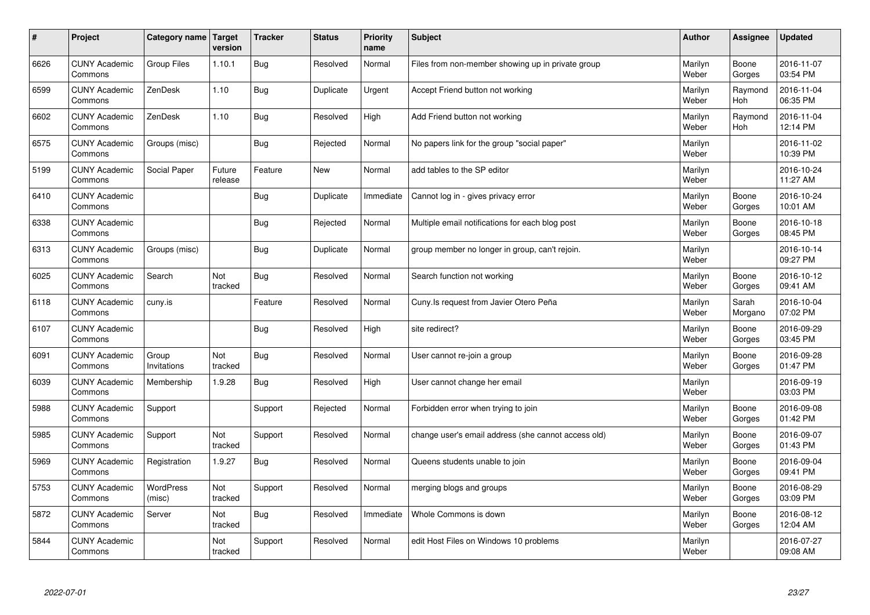| $\sharp$ | Project                         | Category name   Target     | version           | <b>Tracker</b> | <b>Status</b> | <b>Priority</b><br>name | <b>Subject</b>                                      | <b>Author</b>    | Assignee              | <b>Updated</b>         |
|----------|---------------------------------|----------------------------|-------------------|----------------|---------------|-------------------------|-----------------------------------------------------|------------------|-----------------------|------------------------|
| 6626     | <b>CUNY Academic</b><br>Commons | Group Files                | 1.10.1            | Bug            | Resolved      | Normal                  | Files from non-member showing up in private group   | Marilyn<br>Weber | Boone<br>Gorges       | 2016-11-07<br>03:54 PM |
| 6599     | <b>CUNY Academic</b><br>Commons | ZenDesk                    | 1.10              | Bug            | Duplicate     | Urgent                  | Accept Friend button not working                    | Marilyn<br>Weber | Raymond<br><b>Hoh</b> | 2016-11-04<br>06:35 PM |
| 6602     | <b>CUNY Academic</b><br>Commons | ZenDesk                    | 1.10              | Bug            | Resolved      | High                    | Add Friend button not working                       | Marilyn<br>Weber | Raymond<br><b>Hoh</b> | 2016-11-04<br>12:14 PM |
| 6575     | <b>CUNY Academic</b><br>Commons | Groups (misc)              |                   | Bug            | Rejected      | Normal                  | No papers link for the group "social paper"         | Marilyn<br>Weber |                       | 2016-11-02<br>10:39 PM |
| 5199     | <b>CUNY Academic</b><br>Commons | Social Paper               | Future<br>release | Feature        | <b>New</b>    | Normal                  | add tables to the SP editor                         | Marilyn<br>Weber |                       | 2016-10-24<br>11:27 AM |
| 6410     | <b>CUNY Academic</b><br>Commons |                            |                   | Bug            | Duplicate     | Immediate               | Cannot log in - gives privacy error                 | Marilyn<br>Weber | Boone<br>Gorges       | 2016-10-24<br>10:01 AM |
| 6338     | <b>CUNY Academic</b><br>Commons |                            |                   | <b>Bug</b>     | Rejected      | Normal                  | Multiple email notifications for each blog post     | Marilyn<br>Weber | Boone<br>Gorges       | 2016-10-18<br>08:45 PM |
| 6313     | <b>CUNY Academic</b><br>Commons | Groups (misc)              |                   | Bug            | Duplicate     | Normal                  | group member no longer in group, can't rejoin.      | Marilyn<br>Weber |                       | 2016-10-14<br>09:27 PM |
| 6025     | <b>CUNY Academic</b><br>Commons | Search                     | Not<br>tracked    | Bug            | Resolved      | Normal                  | Search function not working                         | Marilyn<br>Weber | Boone<br>Gorges       | 2016-10-12<br>09:41 AM |
| 6118     | <b>CUNY Academic</b><br>Commons | cuny.is                    |                   | Feature        | Resolved      | Normal                  | Cuny. Is request from Javier Otero Peña             | Marilyn<br>Weber | Sarah<br>Morgano      | 2016-10-04<br>07:02 PM |
| 6107     | <b>CUNY Academic</b><br>Commons |                            |                   | <b>Bug</b>     | Resolved      | High                    | site redirect?                                      | Marilyn<br>Weber | Boone<br>Gorges       | 2016-09-29<br>03:45 PM |
| 6091     | <b>CUNY Academic</b><br>Commons | Group<br>Invitations       | Not<br>tracked    | <b>Bug</b>     | Resolved      | Normal                  | User cannot re-join a group                         | Marilyn<br>Weber | Boone<br>Gorges       | 2016-09-28<br>01:47 PM |
| 6039     | <b>CUNY Academic</b><br>Commons | Membership                 | 1.9.28            | Bug            | Resolved      | High                    | User cannot change her email                        | Marilyn<br>Weber |                       | 2016-09-19<br>03:03 PM |
| 5988     | <b>CUNY Academic</b><br>Commons | Support                    |                   | Support        | Rejected      | Normal                  | Forbidden error when trying to join                 | Marilyn<br>Weber | Boone<br>Gorges       | 2016-09-08<br>01:42 PM |
| 5985     | <b>CUNY Academic</b><br>Commons | Support                    | Not<br>tracked    | Support        | Resolved      | Normal                  | change user's email address (she cannot access old) | Marilyn<br>Weber | Boone<br>Gorges       | 2016-09-07<br>01:43 PM |
| 5969     | <b>CUNY Academic</b><br>Commons | Registration               | 1.9.27            | Bug            | Resolved      | Normal                  | Queens students unable to join                      | Marilyn<br>Weber | Boone<br>Gorges       | 2016-09-04<br>09:41 PM |
| 5753     | <b>CUNY Academic</b><br>Commons | <b>WordPress</b><br>(misc) | Not<br>tracked    | Support        | Resolved      | Normal                  | merging blogs and groups                            | Marilyn<br>Weber | Boone<br>Gorges       | 2016-08-29<br>03:09 PM |
| 5872     | <b>CUNY Academic</b><br>Commons | Server                     | Not<br>tracked    | Bug            | Resolved      | Immediate               | Whole Commons is down                               | Marilyn<br>Weber | Boone<br>Gorges       | 2016-08-12<br>12:04 AM |
| 5844     | <b>CUNY Academic</b><br>Commons |                            | Not<br>tracked    | Support        | Resolved      | Normal                  | edit Host Files on Windows 10 problems              | Marilyn<br>Weber |                       | 2016-07-27<br>09:08 AM |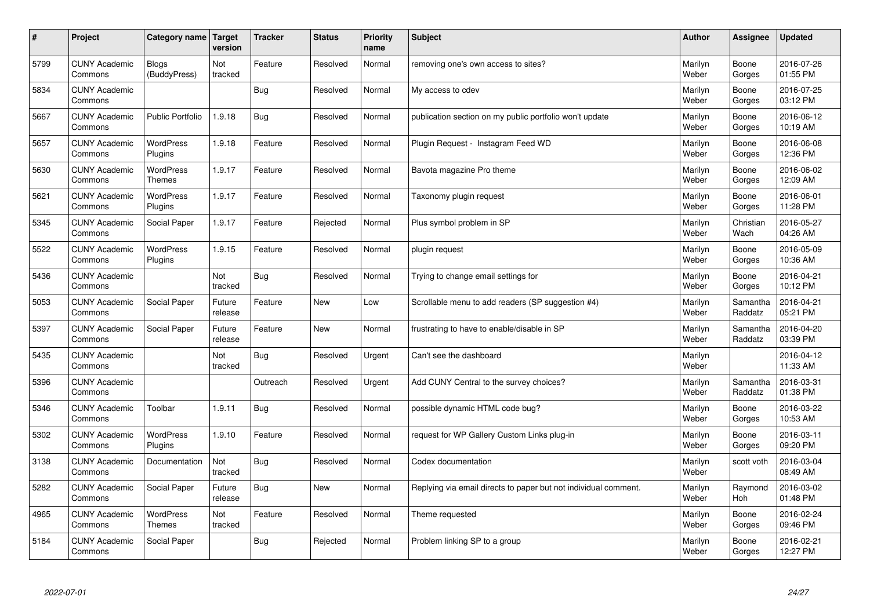| $\sharp$ | Project                         | Category name   Target            | version           | <b>Tracker</b> | <b>Status</b> | <b>Priority</b><br>name | <b>Subject</b>                                                  | <b>Author</b>    | Assignee              | <b>Updated</b>         |
|----------|---------------------------------|-----------------------------------|-------------------|----------------|---------------|-------------------------|-----------------------------------------------------------------|------------------|-----------------------|------------------------|
| 5799     | <b>CUNY Academic</b><br>Commons | Blogs<br>(BuddyPress)             | Not<br>tracked    | Feature        | Resolved      | Normal                  | removing one's own access to sites?                             | Marilyn<br>Weber | Boone<br>Gorges       | 2016-07-26<br>01:55 PM |
| 5834     | <b>CUNY Academic</b><br>Commons |                                   |                   | Bug            | Resolved      | Normal                  | My access to cdev                                               | Marilyn<br>Weber | Boone<br>Gorges       | 2016-07-25<br>03:12 PM |
| 5667     | <b>CUNY Academic</b><br>Commons | <b>Public Portfolio</b>           | 1.9.18            | Bug            | Resolved      | Normal                  | publication section on my public portfolio won't update         | Marilyn<br>Weber | Boone<br>Gorges       | 2016-06-12<br>10:19 AM |
| 5657     | <b>CUNY Academic</b><br>Commons | <b>WordPress</b><br>Plugins       | 1.9.18            | Feature        | Resolved      | Normal                  | Plugin Request - Instagram Feed WD                              | Marilyn<br>Weber | Boone<br>Gorges       | 2016-06-08<br>12:36 PM |
| 5630     | <b>CUNY Academic</b><br>Commons | <b>WordPress</b><br><b>Themes</b> | 1.9.17            | Feature        | Resolved      | Normal                  | Bavota magazine Pro theme                                       | Marilyn<br>Weber | Boone<br>Gorges       | 2016-06-02<br>12:09 AM |
| 5621     | <b>CUNY Academic</b><br>Commons | <b>WordPress</b><br>Plugins       | 1.9.17            | Feature        | Resolved      | Normal                  | Taxonomy plugin request                                         | Marilyn<br>Weber | Boone<br>Gorges       | 2016-06-01<br>11:28 PM |
| 5345     | <b>CUNY Academic</b><br>Commons | Social Paper                      | 1.9.17            | Feature        | Rejected      | Normal                  | Plus symbol problem in SP                                       | Marilyn<br>Weber | Christian<br>Wach     | 2016-05-27<br>04:26 AM |
| 5522     | <b>CUNY Academic</b><br>Commons | WordPress<br>Plugins              | 1.9.15            | Feature        | Resolved      | Normal                  | plugin request                                                  | Marilyn<br>Weber | Boone<br>Gorges       | 2016-05-09<br>10:36 AM |
| 5436     | <b>CUNY Academic</b><br>Commons |                                   | Not<br>tracked    | Bug            | Resolved      | Normal                  | Trying to change email settings for                             | Marilyn<br>Weber | Boone<br>Gorges       | 2016-04-21<br>10:12 PM |
| 5053     | <b>CUNY Academic</b><br>Commons | Social Paper                      | Future<br>release | Feature        | New           | Low                     | Scrollable menu to add readers (SP suggestion #4)               | Marilyn<br>Weber | Samantha<br>Raddatz   | 2016-04-21<br>05:21 PM |
| 5397     | <b>CUNY Academic</b><br>Commons | Social Paper                      | Future<br>release | Feature        | New           | Normal                  | frustrating to have to enable/disable in SP                     | Marilyn<br>Weber | Samantha<br>Raddatz   | 2016-04-20<br>03:39 PM |
| 5435     | <b>CUNY Academic</b><br>Commons |                                   | Not<br>tracked    | Bug            | Resolved      | Urgent                  | Can't see the dashboard                                         | Marilyn<br>Weber |                       | 2016-04-12<br>11:33 AM |
| 5396     | <b>CUNY Academic</b><br>Commons |                                   |                   | Outreach       | Resolved      | Urgent                  | Add CUNY Central to the survey choices?                         | Marilyn<br>Weber | Samantha<br>Raddatz   | 2016-03-31<br>01:38 PM |
| 5346     | <b>CUNY Academic</b><br>Commons | Toolbar                           | 1.9.11            | Bug            | Resolved      | Normal                  | possible dynamic HTML code bug?                                 | Marilyn<br>Weber | Boone<br>Gorges       | 2016-03-22<br>10:53 AM |
| 5302     | <b>CUNY Academic</b><br>Commons | WordPress<br>Plugins              | 1.9.10            | Feature        | Resolved      | Normal                  | request for WP Gallery Custom Links plug-in                     | Marilyn<br>Weber | Boone<br>Gorges       | 2016-03-11<br>09:20 PM |
| 3138     | <b>CUNY Academic</b><br>Commons | Documentation                     | Not<br>tracked    | Bug            | Resolved      | Normal                  | Codex documentation                                             | Marilyn<br>Weber | scott voth            | 2016-03-04<br>08:49 AM |
| 5282     | <b>CUNY Academic</b><br>Commons | Social Paper                      | Future<br>release | Bug            | New           | Normal                  | Replying via email directs to paper but not individual comment. | Marilyn<br>Weber | Raymond<br><b>Hoh</b> | 2016-03-02<br>01:48 PM |
| 4965     | <b>CUNY Academic</b><br>Commons | WordPress<br><b>Themes</b>        | Not<br>tracked    | Feature        | Resolved      | Normal                  | Theme requested                                                 | Marilyn<br>Weber | Boone<br>Gorges       | 2016-02-24<br>09:46 PM |
| 5184     | <b>CUNY Academic</b><br>Commons | Social Paper                      |                   | Bug            | Rejected      | Normal                  | Problem linking SP to a group                                   | Marilyn<br>Weber | Boone<br>Gorges       | 2016-02-21<br>12:27 PM |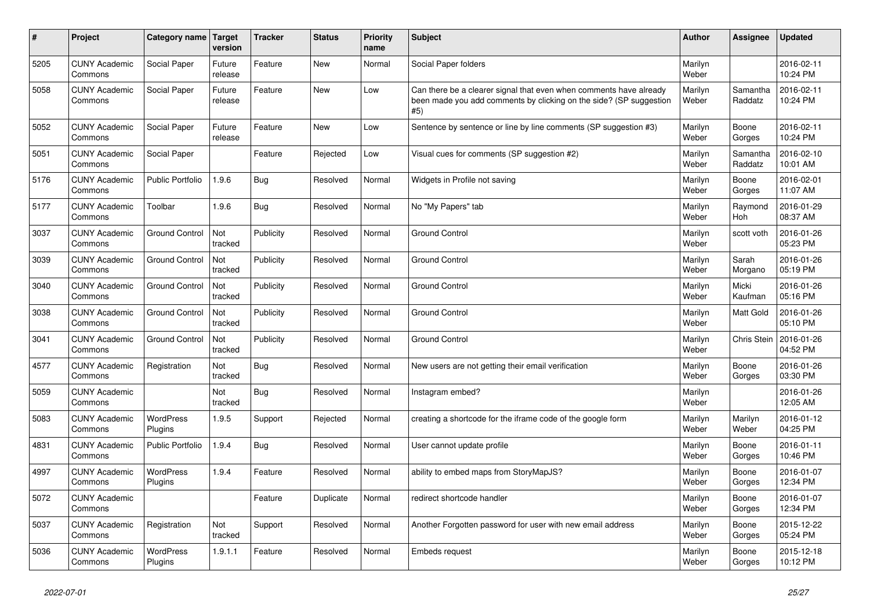| $\vert$ # | <b>Project</b>                  | Category name               | Target<br>version | <b>Tracker</b> | <b>Status</b> | <b>Priority</b><br>name | <b>Subject</b>                                                                                                                                  | <b>Author</b>    | <b>Assignee</b>     | <b>Updated</b>         |
|-----------|---------------------------------|-----------------------------|-------------------|----------------|---------------|-------------------------|-------------------------------------------------------------------------------------------------------------------------------------------------|------------------|---------------------|------------------------|
| 5205      | <b>CUNY Academic</b><br>Commons | Social Paper                | Future<br>release | Feature        | <b>New</b>    | Normal                  | Social Paper folders                                                                                                                            | Marilyn<br>Weber |                     | 2016-02-11<br>10:24 PM |
| 5058      | <b>CUNY Academic</b><br>Commons | Social Paper                | Future<br>release | Feature        | <b>New</b>    | Low                     | Can there be a clearer signal that even when comments have already<br>been made you add comments by clicking on the side? (SP suggestion<br>#5) | Marilyn<br>Weber | Samantha<br>Raddatz | 2016-02-11<br>10:24 PM |
| 5052      | <b>CUNY Academic</b><br>Commons | Social Paper                | Future<br>release | Feature        | <b>New</b>    | Low                     | Sentence by sentence or line by line comments (SP suggestion #3)                                                                                | Marilyn<br>Weber | Boone<br>Gorges     | 2016-02-11<br>10:24 PM |
| 5051      | <b>CUNY Academic</b><br>Commons | Social Paper                |                   | Feature        | Rejected      | Low                     | Visual cues for comments (SP suggestion #2)                                                                                                     | Marilyn<br>Weber | Samantha<br>Raddatz | 2016-02-10<br>10:01 AM |
| 5176      | <b>CUNY Academic</b><br>Commons | <b>Public Portfolio</b>     | 1.9.6             | <b>Bug</b>     | Resolved      | Normal                  | Widgets in Profile not saving                                                                                                                   | Marilyn<br>Weber | Boone<br>Gorges     | 2016-02-01<br>11:07 AM |
| 5177      | <b>CUNY Academic</b><br>Commons | Toolbar                     | 1.9.6             | Bug            | Resolved      | Normal                  | No "My Papers" tab                                                                                                                              | Marilyn<br>Weber | Raymond<br>Hoh      | 2016-01-29<br>08:37 AM |
| 3037      | <b>CUNY Academic</b><br>Commons | <b>Ground Control</b>       | Not<br>tracked    | Publicity      | Resolved      | Normal                  | <b>Ground Control</b>                                                                                                                           | Marilyn<br>Weber | scott voth          | 2016-01-26<br>05:23 PM |
| 3039      | <b>CUNY Academic</b><br>Commons | <b>Ground Control</b>       | Not<br>tracked    | Publicity      | Resolved      | Normal                  | <b>Ground Control</b>                                                                                                                           | Marilyn<br>Weber | Sarah<br>Morgano    | 2016-01-26<br>05:19 PM |
| 3040      | <b>CUNY Academic</b><br>Commons | <b>Ground Control</b>       | Not<br>tracked    | Publicity      | Resolved      | Normal                  | <b>Ground Control</b>                                                                                                                           | Marilyn<br>Weber | Micki<br>Kaufman    | 2016-01-26<br>05:16 PM |
| 3038      | <b>CUNY Academic</b><br>Commons | <b>Ground Control</b>       | Not<br>tracked    | Publicity      | Resolved      | Normal                  | <b>Ground Control</b>                                                                                                                           | Marilyn<br>Weber | Matt Gold           | 2016-01-26<br>05:10 PM |
| 3041      | <b>CUNY Academic</b><br>Commons | <b>Ground Control</b>       | Not<br>tracked    | Publicity      | Resolved      | Normal                  | <b>Ground Control</b>                                                                                                                           | Marilyn<br>Weber | Chris Stein         | 2016-01-26<br>04:52 PM |
| 4577      | <b>CUNY Academic</b><br>Commons | Registration                | Not<br>tracked    | <b>Bug</b>     | Resolved      | Normal                  | New users are not getting their email verification                                                                                              | Marilyn<br>Weber | Boone<br>Gorges     | 2016-01-26<br>03:30 PM |
| 5059      | <b>CUNY Academic</b><br>Commons |                             | Not<br>tracked    | Bug            | Resolved      | Normal                  | Instagram embed?                                                                                                                                | Marilyn<br>Weber |                     | 2016-01-26<br>12:05 AM |
| 5083      | <b>CUNY Academic</b><br>Commons | <b>WordPress</b><br>Plugins | 1.9.5             | Support        | Rejected      | Normal                  | creating a shortcode for the iframe code of the google form                                                                                     | Marilyn<br>Weber | Marilyn<br>Weber    | 2016-01-12<br>04:25 PM |
| 4831      | <b>CUNY Academic</b><br>Commons | <b>Public Portfolio</b>     | 1.9.4             | Bug            | Resolved      | Normal                  | User cannot update profile                                                                                                                      | Marilyn<br>Weber | Boone<br>Gorges     | 2016-01-11<br>10:46 PM |
| 4997      | <b>CUNY Academic</b><br>Commons | <b>WordPress</b><br>Plugins | 1.9.4             | Feature        | Resolved      | Normal                  | ability to embed maps from StoryMapJS?                                                                                                          | Marilyn<br>Weber | Boone<br>Gorges     | 2016-01-07<br>12:34 PM |
| 5072      | <b>CUNY Academic</b><br>Commons |                             |                   | Feature        | Duplicate     | Normal                  | redirect shortcode handler                                                                                                                      | Marilyn<br>Weber | Boone<br>Gorges     | 2016-01-07<br>12:34 PM |
| 5037      | <b>CUNY Academic</b><br>Commons | Registration                | Not<br>tracked    | Support        | Resolved      | Normal                  | Another Forgotten password for user with new email address                                                                                      | Marilyn<br>Weber | Boone<br>Gorges     | 2015-12-22<br>05:24 PM |
| 5036      | <b>CUNY Academic</b><br>Commons | <b>WordPress</b><br>Plugins | 1.9.1.1           | Feature        | Resolved      | Normal                  | Embeds request                                                                                                                                  | Marilyn<br>Weber | Boone<br>Gorges     | 2015-12-18<br>10:12 PM |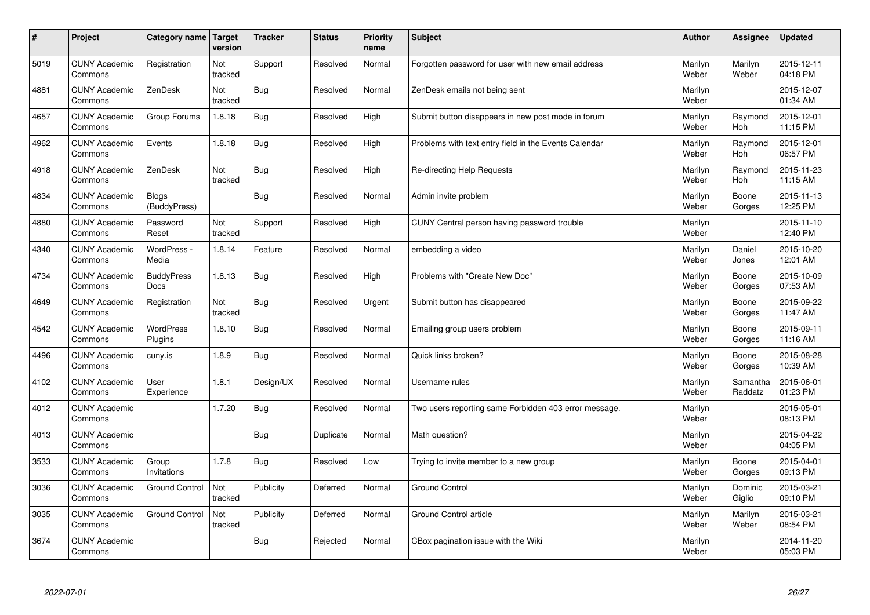| $\vert$ # | Project                         | Category name                    | <b>Target</b><br>version | <b>Tracker</b> | <b>Status</b> | <b>Priority</b><br>name | <b>Subject</b>                                        | <b>Author</b>    | <b>Assignee</b>       | <b>Updated</b>         |
|-----------|---------------------------------|----------------------------------|--------------------------|----------------|---------------|-------------------------|-------------------------------------------------------|------------------|-----------------------|------------------------|
| 5019      | <b>CUNY Academic</b><br>Commons | Registration                     | Not<br>tracked           | Support        | Resolved      | Normal                  | Forgotten password for user with new email address    | Marilyn<br>Weber | Marilyn<br>Weber      | 2015-12-11<br>04:18 PM |
| 4881      | <b>CUNY Academic</b><br>Commons | ZenDesk                          | Not<br>tracked           | <b>Bug</b>     | Resolved      | Normal                  | ZenDesk emails not being sent                         | Marilyn<br>Weber |                       | 2015-12-07<br>01:34 AM |
| 4657      | <b>CUNY Academic</b><br>Commons | Group Forums                     | 1.8.18                   | <b>Bug</b>     | Resolved      | High                    | Submit button disappears in new post mode in forum    | Marilyn<br>Weber | Raymond<br><b>Hoh</b> | 2015-12-01<br>11:15 PM |
| 4962      | <b>CUNY Academic</b><br>Commons | Events                           | 1.8.18                   | Bug            | Resolved      | High                    | Problems with text entry field in the Events Calendar | Marilyn<br>Weber | Raymond<br><b>Hoh</b> | 2015-12-01<br>06:57 PM |
| 4918      | <b>CUNY Academic</b><br>Commons | ZenDesk                          | Not<br>tracked           | Bug            | Resolved      | High                    | Re-directing Help Requests                            | Marilyn<br>Weber | Raymond<br>Hoh        | 2015-11-23<br>11:15 AM |
| 4834      | <b>CUNY Academic</b><br>Commons | <b>Blogs</b><br>(BuddyPress)     |                          | Bug            | Resolved      | Normal                  | Admin invite problem                                  | Marilyn<br>Weber | Boone<br>Gorges       | 2015-11-13<br>12:25 PM |
| 4880      | <b>CUNY Academic</b><br>Commons | Password<br>Reset                | Not<br>tracked           | Support        | Resolved      | High                    | CUNY Central person having password trouble           | Marilyn<br>Weber |                       | 2015-11-10<br>12:40 PM |
| 4340      | <b>CUNY Academic</b><br>Commons | WordPress -<br>Media             | 1.8.14                   | Feature        | Resolved      | Normal                  | embedding a video                                     | Marilyn<br>Weber | Daniel<br>Jones       | 2015-10-20<br>12:01 AM |
| 4734      | <b>CUNY Academic</b><br>Commons | <b>BuddyPress</b><br><b>Docs</b> | 1.8.13                   | Bug            | Resolved      | High                    | Problems with "Create New Doc"                        | Marilyn<br>Weber | Boone<br>Gorges       | 2015-10-09<br>07:53 AM |
| 4649      | <b>CUNY Academic</b><br>Commons | Registration                     | Not<br>tracked           | Bug            | Resolved      | Urgent                  | Submit button has disappeared                         | Marilyn<br>Weber | Boone<br>Gorges       | 2015-09-22<br>11:47 AM |
| 4542      | <b>CUNY Academic</b><br>Commons | WordPress<br>Plugins             | 1.8.10                   | Bug            | Resolved      | Normal                  | Emailing group users problem                          | Marilyn<br>Weber | Boone<br>Gorges       | 2015-09-11<br>11:16 AM |
| 4496      | <b>CUNY Academic</b><br>Commons | cuny.is                          | 1.8.9                    | <b>Bug</b>     | Resolved      | Normal                  | Quick links broken?                                   | Marilyn<br>Weber | Boone<br>Gorges       | 2015-08-28<br>10:39 AM |
| 4102      | <b>CUNY Academic</b><br>Commons | User<br>Experience               | 1.8.1                    | Design/UX      | Resolved      | Normal                  | Username rules                                        | Marilyn<br>Weber | Samantha<br>Raddatz   | 2015-06-01<br>01:23 PM |
| 4012      | <b>CUNY Academic</b><br>Commons |                                  | 1.7.20                   | Bug            | Resolved      | Normal                  | Two users reporting same Forbidden 403 error message. | Marilyn<br>Weber |                       | 2015-05-01<br>08:13 PM |
| 4013      | <b>CUNY Academic</b><br>Commons |                                  |                          | <b>Bug</b>     | Duplicate     | Normal                  | Math question?                                        | Marilyn<br>Weber |                       | 2015-04-22<br>04:05 PM |
| 3533      | <b>CUNY Academic</b><br>Commons | Group<br>Invitations             | 1.7.8                    | Bug            | Resolved      | Low                     | Trying to invite member to a new group                | Marilyn<br>Weber | Boone<br>Gorges       | 2015-04-01<br>09:13 PM |
| 3036      | <b>CUNY Academic</b><br>Commons | <b>Ground Control</b>            | Not<br>tracked           | Publicity      | Deferred      | Normal                  | <b>Ground Control</b>                                 | Marilyn<br>Weber | Dominic<br>Giglio     | 2015-03-21<br>09:10 PM |
| 3035      | <b>CUNY Academic</b><br>Commons | <b>Ground Control</b>            | Not<br>tracked           | Publicity      | Deferred      | Normal                  | Ground Control article                                | Marilyn<br>Weber | Marilyn<br>Weber      | 2015-03-21<br>08:54 PM |
| 3674      | <b>CUNY Academic</b><br>Commons |                                  |                          | Bug            | Rejected      | Normal                  | CBox pagination issue with the Wiki                   | Marilyn<br>Weber |                       | 2014-11-20<br>05:03 PM |